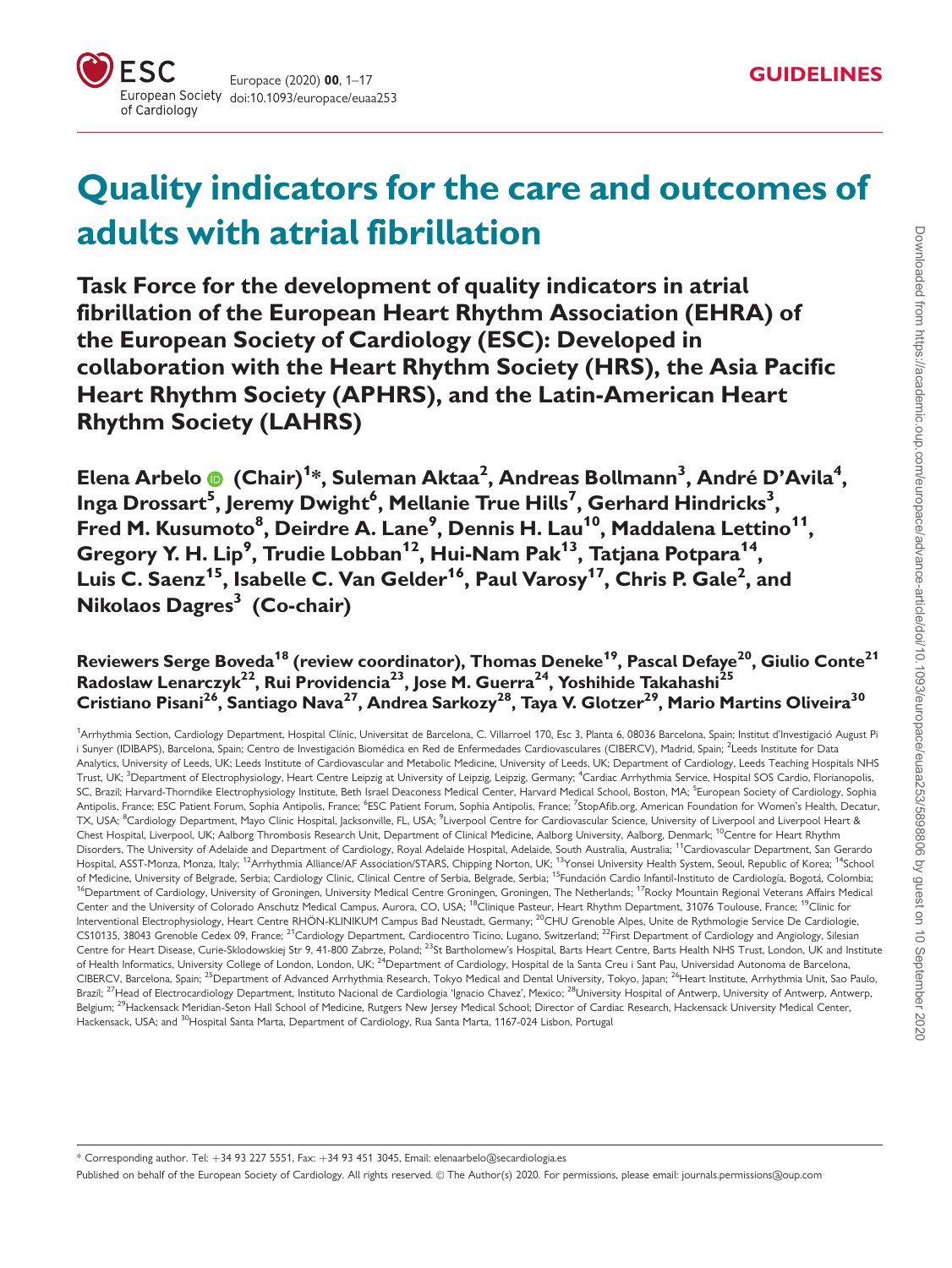

# Quality indicators for the care and outcomes of adults with atrial fibrillation

Task Force for the development of quality indicators in atrial fibrillation of the European Heart Rhythm Association (EHRA) of the European Society of Cardiology (ESC): Developed in collaboration with the Heart Rhythm Society (HRS), the Asia Pacific Heart Rhythm Society (APHRS), and the Latin-American Heart Rhythm Society (LAHRS)

Elena Arbelo (Chair)<sup>1\*</sup>, Suleman Aktaa<sup>2</sup>, Andreas Bollmann<sup>3</sup>, André D'Avila<sup>4</sup>, Inga Drossart<sup>5</sup>, Jeremy Dwight<sup>6</sup>, Mellanie True Hills<sup>7</sup>, Gerhard Hindricks<sup>3</sup>, Fred M. Kusumoto $^8$ , Deirdre A. Lane $^9$ , Dennis H. Lau $^{10}$ , Maddalena Lettino $^{11}$ , Gregory Y. H. Lip<sup>9</sup>, Trudie Lobban<sup>12</sup>, Hui-Nam Pak<sup>13</sup>, Tatjana Potpara<sup>14</sup>, Luis C. Saenz<sup>15</sup>, Isabelle C. Van Gelder<sup>16</sup>, Paul Varosy<sup>17</sup>, Chris P. Gale<sup>2</sup>, and  $Nikolaos$  Dagres<sup>3</sup> (Co-chair)

Reviewers Serge Boveda<sup>18</sup> (review coordinator), Thomas Deneke<sup>19</sup>, Pascal Defaye<sup>20</sup>, Giulio Conte<sup>21</sup> Radoslaw Lenarczyk<sup>22</sup>, Rui Providencia<sup>23</sup>, Jose M. Guerra<sup>24</sup>, Yoshihide Takahashi<sup>25</sup> Cristiano Pisani<sup>26</sup>, Santiago Nava<sup>27</sup>, Andrea Sarkozy<sup>28</sup>, Taya V. Glotzer<sup>29</sup>, Mario Martins Oliveira<sup>30</sup>

1<br>Arrhythmia Section, Cardiology Department, Hospital Clínic, Universitat de Barcelona, C. Villarroel 170, Esc 3, Planta 6, 08036 Barcelona, Spain; Institut d'Investigació August Pi i Sunyer (IDIBAPS), Barcelona, Spain; Centro de Investigación Biomédica en Red de Enfermedades Cardiovasculares (CIBERCV), Madrid, Spain; <sup>2</sup>Leeds Institute for Data Analytics, University of Leeds, UK; Leeds Institute of Cardiovascular and Metabolic Medicine, University of Leeds, UK; Department of Cardiology, Leeds Teaching Hospitals NHS Trust, UK; <sup>3</sup>Department of Electrophysiology, Heart Centre Leipzig at University of Leipzig, Leipzig, Germany; <sup>4</sup>Cardiac Arrhythmia Service, Hospital SOS Cardio, Florianopolis SC, Brazil; Harvard-Thorndike Electrophysiology Institute, Beth Israel Deaconess Medical Center, Harvard Medical School, Boston, MA; <sup>5</sup>European Society of Cardiology, Sophia Antipolis, France; ESC Patient Forum, Sophia Antipolis, France; <sup>6</sup>ESC Patient Forum, Sophia Antipolis, France; <sup>7</sup>StopAfib.org, American Foundation for Women's Health, Decatur, TX, USA; <sup>8</sup>Cardiology Department, Mayo Clinic Hospital, Jacksonville, FL, USA; <sup>9</sup>Liverpool Centre for Cardiovascular Science, University of Liverpool and Liverpool Heart & Chest Hospital, Liverpool, UK; Aalborg Thrombosis Research Unit, Department of Clinical Medicine, Aalborg University, Aalborg, Denmark; 10Centre for Heart Rhythm Disorders, The University of Adelaide and Department of Cardiology, Royal Adelaide Hospital, Adelaide, South Australia, Australia; <sup>11</sup>Cardiovascular Department, San Gerardo Hospital, ASST-Monza, Monza, Italy; <sup>12</sup>Arrhythmia Alliance/AF Association/STARS, Chipping Norton, UK; <sup>13</sup>Yonsei University Health System, Seoul, Republic of Korea; <sup>14</sup>School of Medicine, University of Belgrade, Serbia; Cardiology Clinic, Clinical Centre of Serbia, Belgrade, Serbia; <sup>15</sup>Fundación Cardio Infantil-Instituto de Cardiología, Bogotá, Colombia; <sup>16</sup>Department of Cardiology, University of Groningen, University Medical Centre Groningen, Groningen, The Netherlands; <sup>17</sup>Rocky Mountain Regional Veterans Affairs Medical Center and the University of Colorado Anschutz Medical Campus, Aurora, CO, USA; 18Clinique Pasteur, Heart Rhythm Department, 31076 Toulouse, France; 19Clinic for Interventional Electrophysiology, Heart Centre RHÖN-KLINIKUM Campus Bad Neustadt, Germany; <sup>20</sup>CHU Grenoble Alpes, Unite de Rythmologie Service De Cardiologie, CS10135, 38043 Grenoble Cedex 09, France; 21Cardiology Department, Cardiocentro Ticino, Lugano, Switzerland; 22First Department of Cardiology and Angiology, Silesian Centre for Heart Disease, Curie-Sklodowskiej Str 9, 41-800 Zabrze, Poland; <sup>23</sup>St Bartholomew's Hospital, Barts Heart Centre, Barts Health NHS Trust, London, UK and Institute of Health Informatics, University College of London, London, UK; <sup>24</sup>Department of Cardiology, Hospital de la Santa Creu i Sant Pau, Universidad Autonoma de Barcelona, CIBERCV, Barcelona, Spain; <sup>25</sup>Department of Advanced Arrhythmia Research, Tokyo Medical and Dental University, Tokyo, Japan; <sup>26</sup>Heart Institute, Arrhythmia Unit, Sao Paulo, Brazil; <sup>27</sup>Head of Electrocardiology Department, Instituto Nacional de Cardiologia 'Ignacio Chavez', Mexico; <sup>28</sup>University Hospital of Antwerp, University of Antwerp, Antwerp, Belgium; <sup>29</sup>Hackensack Meridian-Seton Hall School of Medicine, Rutgers New Jersey Medical School; Director of Cardiac Research, Hackensack University Medical Center, Hackensack, USA; and <sup>30</sup>Hospital Santa Marta, Department of Cardiology, Rua Santa Marta, 1167-024 Lisbon, Portugal

\* Corresponding author. Tel: +34 93 227 5551, Fax: +34 93 451 3045, Email: elenaarbelo@secardiologia.es

Published on behalf of the European Society of Cardiology. All rights reserved. © The Author(s) 2020. For permissions, please email: journals.permissions@oup.com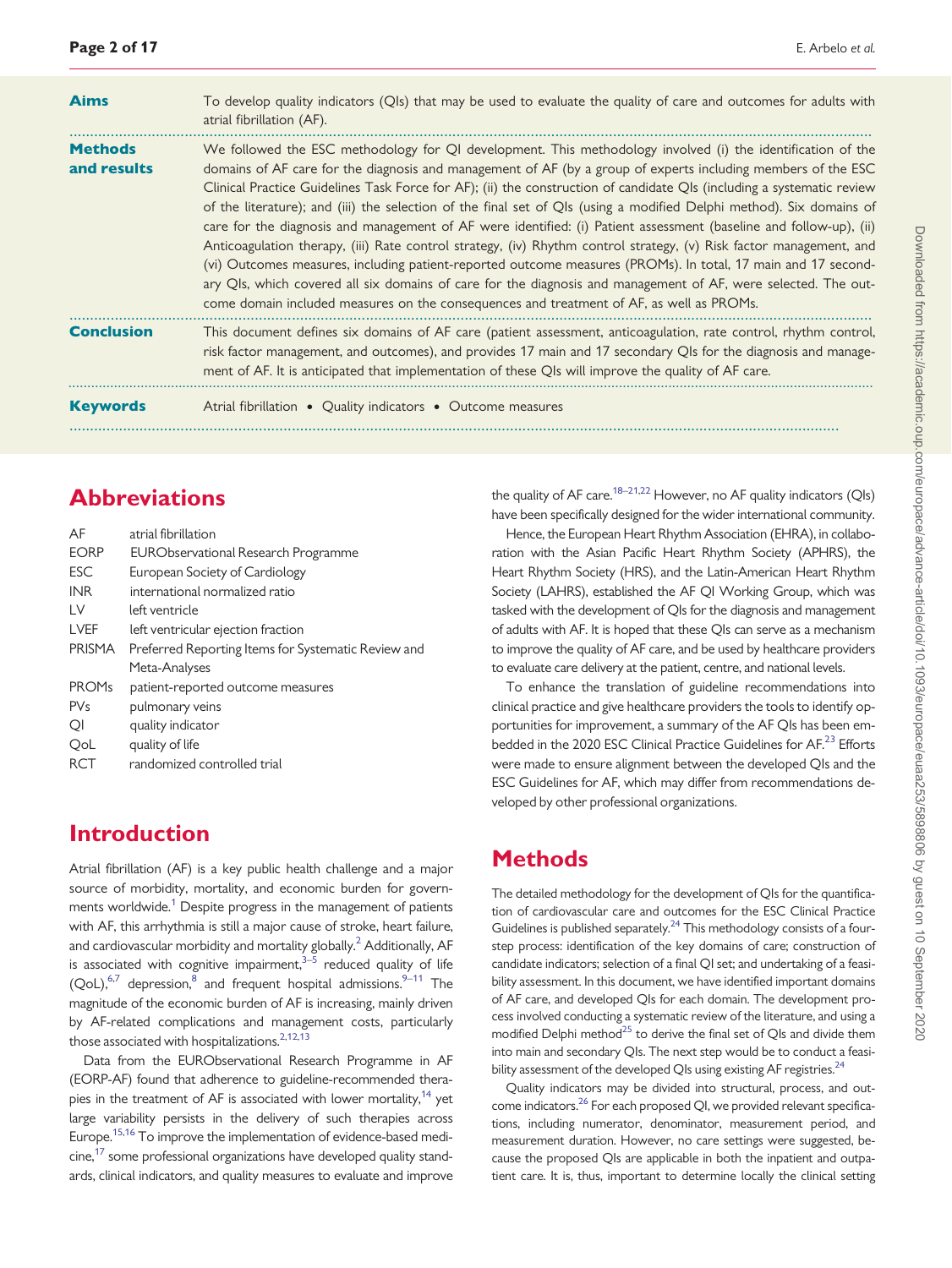<span id="page-1-0"></span>

| <b>Aims</b>                   | To develop quality indicators (QIs) that may be used to evaluate the quality of care and outcomes for adults with<br>atrial fibrillation (AF).                                                                                                                                                                                                                                                                                                                                                                                                                                                                                                                                                                                                                                                                                                                                                                                                                                                                                                             |
|-------------------------------|------------------------------------------------------------------------------------------------------------------------------------------------------------------------------------------------------------------------------------------------------------------------------------------------------------------------------------------------------------------------------------------------------------------------------------------------------------------------------------------------------------------------------------------------------------------------------------------------------------------------------------------------------------------------------------------------------------------------------------------------------------------------------------------------------------------------------------------------------------------------------------------------------------------------------------------------------------------------------------------------------------------------------------------------------------|
| <b>Methods</b><br>and results | We followed the ESC methodology for QI development. This methodology involved (i) the identification of the<br>domains of AF care for the diagnosis and management of AF (by a group of experts including members of the ESC<br>Clinical Practice Guidelines Task Force for AF); (ii) the construction of candidate QIs (including a systematic review<br>of the literature); and (iii) the selection of the final set of QIs (using a modified Delphi method). Six domains of<br>care for the diagnosis and management of AF were identified: (i) Patient assessment (baseline and follow-up), (ii)<br>Anticoagulation therapy, (iii) Rate control strategy, (iv) Rhythm control strategy, (v) Risk factor management, and<br>(vi) Outcomes measures, including patient-reported outcome measures (PROMs). In total, 17 main and 17 second-<br>ary Qls, which covered all six domains of care for the diagnosis and management of AF, were selected. The out-<br>come domain included measures on the consequences and treatment of AF, as well as PROMs. |
| <b>Conclusion</b>             | This document defines six domains of AF care (patient assessment, anticoagulation, rate control, rhythm control,<br>risk factor management, and outcomes), and provides 17 main and 17 secondary Qls for the diagnosis and manage-<br>ment of AF. It is anticipated that implementation of these QIs will improve the quality of AF care.                                                                                                                                                                                                                                                                                                                                                                                                                                                                                                                                                                                                                                                                                                                  |
| <b>Keywords</b>               | Atrial fibrillation • Quality indicators • Outcome measures                                                                                                                                                                                                                                                                                                                                                                                                                                                                                                                                                                                                                                                                                                                                                                                                                                                                                                                                                                                                |

# **Abbreviations**

| AF            | atrial fibrillation                                 |
|---------------|-----------------------------------------------------|
| <b>EORP</b>   | <b>EURObservational Research Programme</b>          |
| <b>ESC</b>    | European Society of Cardiology                      |
| <b>INR</b>    | international normalized ratio                      |
| LV            | left ventricle                                      |
| <b>LVEF</b>   | left ventricular ejection fraction                  |
| <b>PRISMA</b> | Preferred Reporting Items for Systematic Review and |
|               | Meta-Analyses                                       |
| <b>PROMs</b>  | patient-reported outcome measures                   |
| <b>PVs</b>    | pulmonary veins                                     |
| OI            | quality indicator                                   |
| OoL           | quality of life                                     |
| RCT           | randomized controlled trial                         |

# Introduction

Atrial fibrillation (AF) is a key public health challenge and a major source of morbidity, mortality, and economic burden for govern-ments worldwide.<sup>[1](#page-13-0)</sup> Despite progress in the management of patients with AF, this arrhythmia is still a major cause of stroke, heart failure, and cardiovascular morbidity and mortality globally.<sup>[2](#page-13-0)</sup> Additionally, AF is associated with cognitive impairment, $3-5$  reduced quality of life  $(QoL)$ , <sup>6,7</sup> depression, <sup>[8](#page-13-0)</sup> and frequent hospital admissions. <sup>[9–11](#page-13-0)</sup> The magnitude of the economic burden of AF is increasing, mainly driven by AF-related complications and management costs, particularly those associated with hospitalizations. $2,12,13$  $2,12,13$ 

Data from the EURObservational Research Programme in AF (EORP-AF) found that adherence to guideline-recommended therapies in the treatment of AF is associated with lower mortality, $14$  yet large variability persists in the delivery of such therapies across Europe.<sup>15,16</sup> To improve the implementation of evidence-based medi- $\frac{17}{2}$  some professional organizations have developed quality standards, clinical indicators, and quality measures to evaluate and improve

the quality of AF care.<sup>18–21,[22](#page-13-0)</sup> However, no AF quality indicators (QIs) have been specifically designed for the wider international community.

Hence, the European Heart Rhythm Association (EHRA), in collaboration with the Asian Pacific Heart Rhythm Society (APHRS), the Heart Rhythm Society (HRS), and the Latin-American Heart Rhythm Society (LAHRS), established the AF QI Working Group, which was tasked with the development of QIs for the diagnosis and management of adults with AF. It is hoped that these QIs can serve as a mechanism to improve the quality of AF care, and be used by healthcare providers to evaluate care delivery at the patient, centre, and national levels.

To enhance the translation of guideline recommendations into clinical practice and give healthcare providers the tools to identify opportunities for improvement, a summary of the AF QIs has been embedded in the 2020 ESC Clinical Practice Guidelines for AF.<sup>23</sup> Efforts were made to ensure alignment between the developed QIs and the ESC Guidelines for AF, which may differ from recommendations developed by other professional organizations.

# Methods

The detailed methodology for the development of QIs for the quantification of cardiovascular care and outcomes for the ESC Clinical Practice Guidelines is published separately.<sup>[24](#page-13-0)</sup> This methodology consists of a fourstep process: identification of the key domains of care; construction of candidate indicators; selection of a final QI set; and undertaking of a feasibility assessment. In this document, we have identified important domains of AF care, and developed QIs for each domain. The development process involved conducting a systematic review of the literature, and using a modified Delphi method<sup>25</sup> to derive the final set of QIs and divide them into main and secondary QIs. The next step would be to conduct a feasibility assessment of the developed QIs using existing AF registries.<sup>24</sup>

Quality indicators may be divided into structural, process, and outcome indicators.<sup>26</sup> For each proposed QI, we provided relevant specifications, including numerator, denominator, measurement period, and measurement duration. However, no care settings were suggested, because the proposed QIs are applicable in both the inpatient and outpatient care. It is, thus, important to determine locally the clinical setting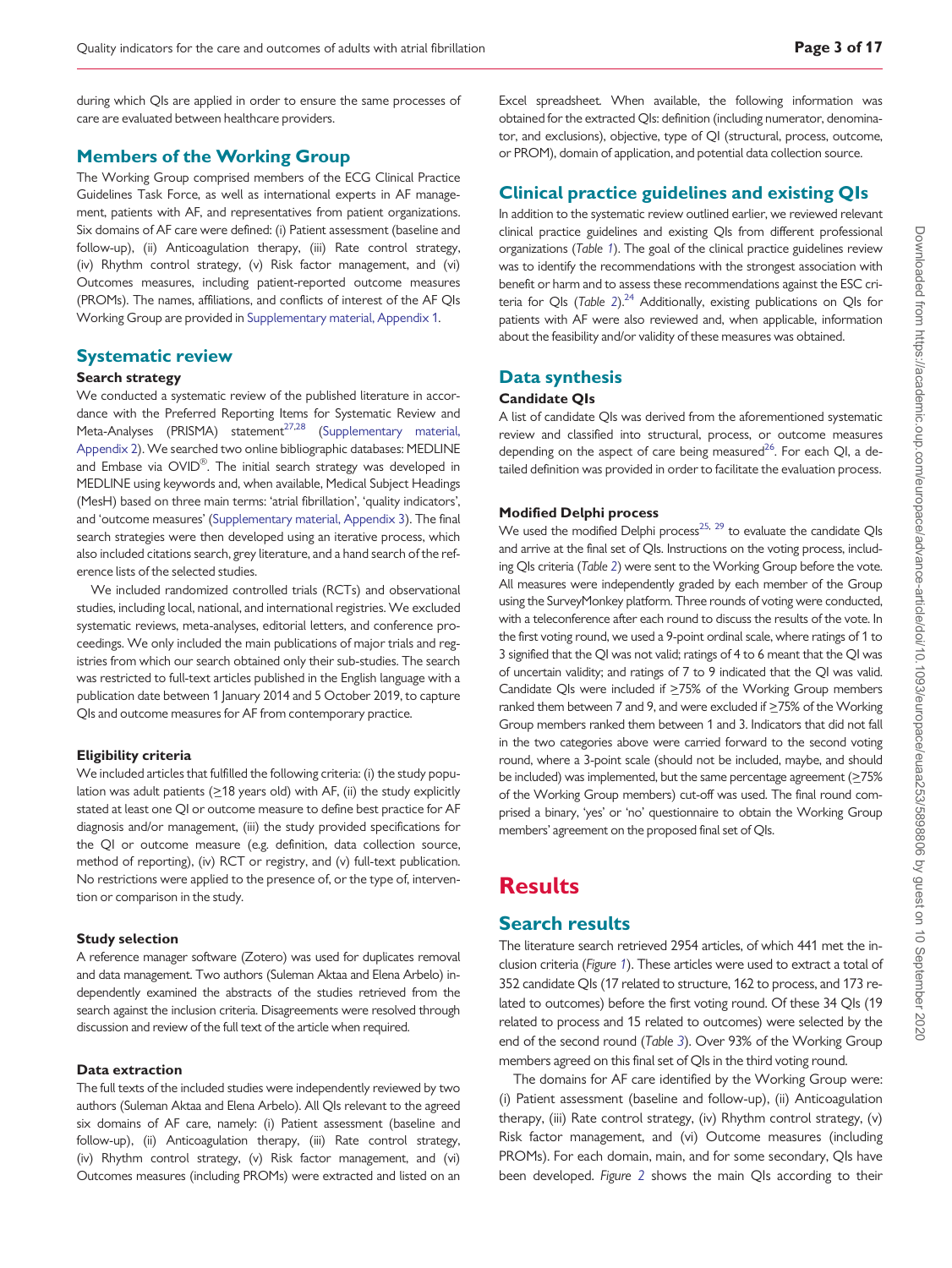<span id="page-2-0"></span>during which QIs are applied in order to ensure the same processes of care are evaluated between healthcare providers.

#### Members of the Working Group

The Working Group comprised members of the ECG Clinical Practice Guidelines Task Force, as well as international experts in AF management, patients with AF, and representatives from patient organizations. Six domains of AF care were defined: (i) Patient assessment (baseline and follow-up), (ii) Anticoagulation therapy, (iii) Rate control strategy, (iv) Rhythm control strategy, (v) Risk factor management, and (vi) Outcomes measures, including patient-reported outcome measures (PROMs). The names, affiliations, and conflicts of interest of the AF QIs Working Group are provided in [Supplementary material, Appendix 1](https://academic.oup.com/europace/article-lookup/doi/10.1093/europace/euaa253#supplementary-data).

### Systematic review

#### Search strategy

We conducted a systematic review of the published literature in accordance with the Preferred Reporting Items for Systematic Review and Meta-Analyses (PRISMA) statement<sup>[27,28](#page-13-0)</sup> [\(Supplementary material,](https://academic.oup.com/europace/article-lookup/doi/10.1093/europace/euaa253#supplementary-data) [Appendix 2](https://academic.oup.com/europace/article-lookup/doi/10.1093/europace/euaa253#supplementary-data)). We searched two online bibliographic databases: MEDLINE and Embase via OVID $^\circledR.$  The initial search strategy was developed in MEDLINE using keywords and, when available, Medical Subject Headings (MesH) based on three main terms: 'atrial fibrillation', 'quality indicators', and 'outcome measures' [\(Supplementary material, Appendix 3](https://academic.oup.com/europace/article-lookup/doi/10.1093/europace/euaa253#supplementary-data)). The final search strategies were then developed using an iterative process, which also included citations search, grey literature, and a hand search of the reference lists of the selected studies.

We included randomized controlled trials (RCTs) and observational studies, including local, national, and international registries. We excluded systematic reviews, meta-analyses, editorial letters, and conference proceedings. We only included the main publications of major trials and registries from which our search obtained only their sub-studies. The search was restricted to full-text articles published in the English language with a publication date between 1 January 2014 and 5 October 2019, to capture QIs and outcome measures for AF from contemporary practice.

#### Eligibility criteria

We included articles that fulfilled the following criteria: (i) the study population was adult patients ( $\geq$ 18 years old) with AF, (ii) the study explicitly stated at least one QI or outcome measure to define best practice for AF diagnosis and/or management, (iii) the study provided specifications for the QI or outcome measure (e.g. definition, data collection source, method of reporting), (iv) RCT or registry, and (v) full-text publication. No restrictions were applied to the presence of, or the type of, intervention or comparison in the study.

#### Study selection

A reference manager software (Zotero) was used for duplicates removal and data management. Two authors (Suleman Aktaa and Elena Arbelo) independently examined the abstracts of the studies retrieved from the search against the inclusion criteria. Disagreements were resolved through discussion and review of the full text of the article when required.

#### Data extraction

The full texts of the included studies were independently reviewed by two authors (Suleman Aktaa and Elena Arbelo). All QIs relevant to the agreed six domains of AF care, namely: (i) Patient assessment (baseline and follow-up), (ii) Anticoagulation therapy, (iii) Rate control strategy, (iv) Rhythm control strategy, (v) Risk factor management, and (vi) Outcomes measures (including PROMs) were extracted and listed on an

Excel spreadsheet. When available, the following information was obtained for the extracted QIs: definition (including numerator, denominator, and exclusions), objective, type of QI (structural, process, outcome, or PROM), domain of application, and potential data collection source.

### Clinical practice guidelines and existing QIs

In addition to the systematic review outlined earlier, we reviewed relevant clinical practice guidelines and existing QIs from different professional organizations (Table [1](#page-3-0)). The goal of the clinical practice guidelines review was to identify the recommendations with the strongest association with benefit or harm and to assess these recommendations against the ESC cri-teria for QIs (Table [2](#page-3-0)). $^{24}$  $^{24}$  $^{24}$  Additionally, existing publications on QIs for patients with AF were also reviewed and, when applicable, information about the feasibility and/or validity of these measures was obtained.

#### Data synthesis

#### Candidate QIs

A list of candidate QIs was derived from the aforementioned systematic review and classified into structural, process, or outcome measures depending on the aspect of care being measured<sup>26</sup>. For each QI, a detailed definition was provided in order to facilitate the evaluation process.

#### Modified Delphi process

We used the modified Delphi process<sup>[25,](#page-13-0) [29](#page-13-0)</sup> to evaluate the candidate QIs and arrive at the final set of QIs. Instructions on the voting process, including QIs criteria (Table [2](#page-3-0)) were sent to the Working Group before the vote. All measures were independently graded by each member of the Group using the SurveyMonkey platform. Three rounds of voting were conducted, with a teleconference after each round to discuss the results of the vote. In the first voting round, we used a 9-point ordinal scale, where ratings of 1 to 3 signified that the QI was not valid; ratings of 4 to 6 meant that the QI was of uncertain validity; and ratings of 7 to 9 indicated that the QI was valid. Candidate QIs were included if  $\geq$ 75% of the Working Group members ranked them between 7 and 9, and were excluded if >75% of the Working Group members ranked them between 1 and 3. Indicators that did not fall in the two categories above were carried forward to the second voting round, where a 3-point scale (should not be included, maybe, and should be included) was implemented, but the same percentage agreement ( $\geq$ 75% of the Working Group members) cut-off was used. The final round comprised a binary, 'yes' or 'no' questionnaire to obtain the Working Group members' agreement on the proposed final set of QIs.

# **Results**

# Search results

The literature search retrieved 2954 articles, of which 441 met the inclusion criteria (Figure [1](#page-4-0)). These articles were used to extract a total of 352 candidate QIs (17 related to structure, 162 to process, and 173 related to outcomes) before the first voting round. Of these 34 QIs (19 related to process and 15 related to outcomes) were selected by the end of the second round (Table [3](#page-5-0)). Over 93% of the Working Group members agreed on this final set of QIs in the third voting round.

The domains for AF care identified by the Working Group were: (i) Patient assessment (baseline and follow-up), (ii) Anticoagulation therapy, (iii) Rate control strategy, (iv) Rhythm control strategy, (v) Risk factor management, and (vi) Outcome measures (including PROMs). For each domain, main, and for some secondary, QIs have been developed. Figure [2](#page-6-0) shows the main QIs according to their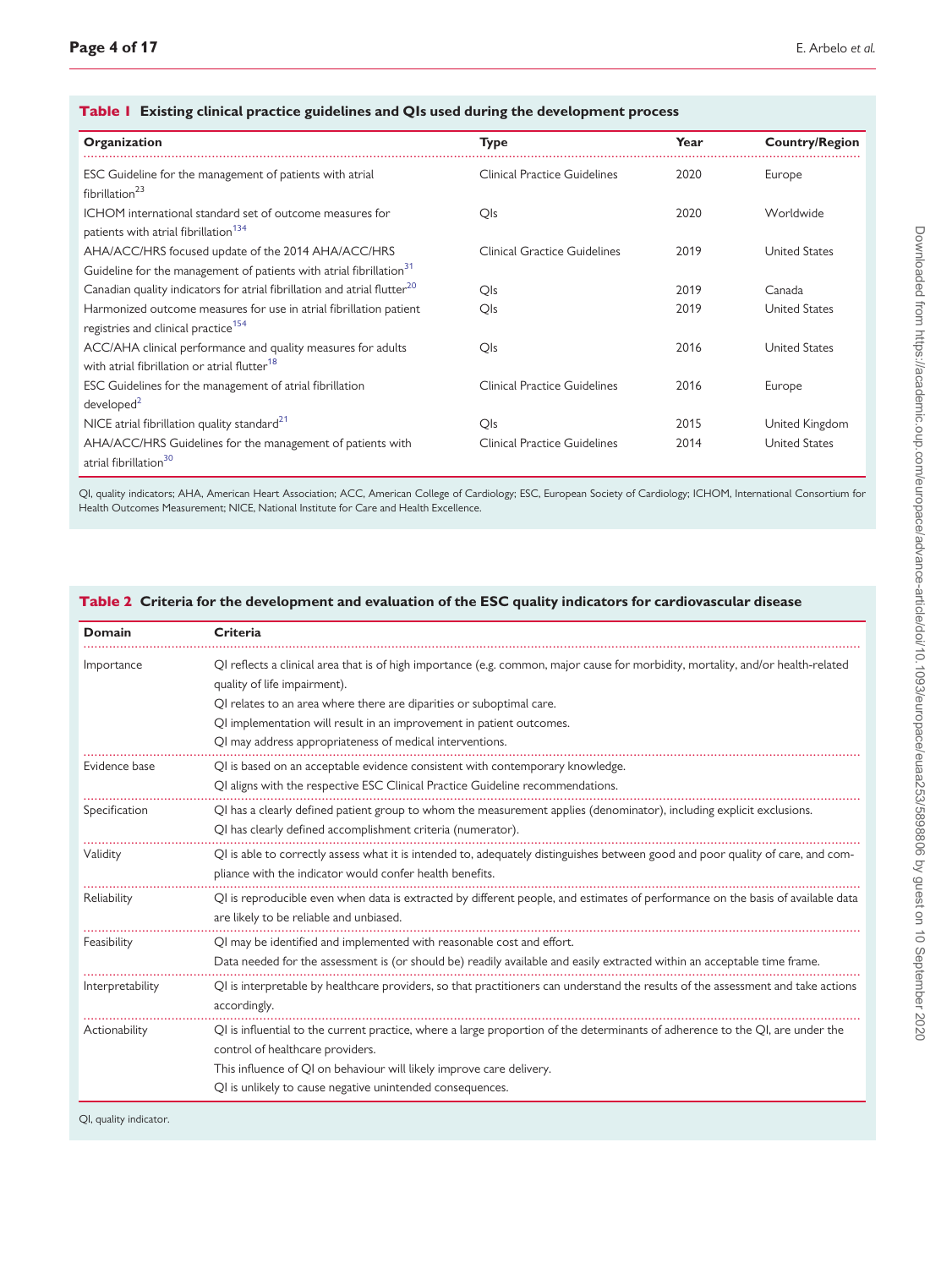# <span id="page-3-0"></span>Table I Existing clinical practice guidelines and QIs used during the development process

| Organization                                                                                                                          | <b>Type</b>                         | Year | <b>Country/Region</b> |
|---------------------------------------------------------------------------------------------------------------------------------------|-------------------------------------|------|-----------------------|
| ESC Guideline for the management of patients with atrial<br>fibrillation <sup>23</sup>                                                | Clinical Practice Guidelines        | 2020 | Europe                |
| ICHOM international standard set of outcome measures for<br>patients with atrial fibrillation <sup>134</sup>                          | Ols                                 | 2020 | Worldwide             |
| AHA/ACC/HRS focused update of the 2014 AHA/ACC/HRS<br>Guideline for the management of patients with atrial fibrillation <sup>31</sup> | <b>Clinical Gractice Guidelines</b> | 2019 | <b>United States</b>  |
| Canadian quality indicators for atrial fibrillation and atrial flutter <sup>20</sup>                                                  | Ols                                 | 2019 | Canada                |
| Harmonized outcome measures for use in atrial fibrillation patient<br>registries and clinical practice <sup>154</sup>                 | Ols                                 | 2019 | <b>United States</b>  |
| ACC/AHA clinical performance and quality measures for adults<br>with atrial fibrillation or atrial flutter <sup>18</sup>              | Ols                                 | 2016 | <b>United States</b>  |
| ESC Guidelines for the management of atrial fibrillation<br>$d$ eveloped <sup>2</sup>                                                 | Clinical Practice Guidelines        | 2016 | Europe                |
| NICE atrial fibrillation quality standard <sup>21</sup>                                                                               | Ols                                 | 2015 | United Kingdom        |
| AHA/ACC/HRS Guidelines for the management of patients with<br>atrial fibrillation <sup>30</sup>                                       | <b>Clinical Practice Guidelines</b> | 2014 | <b>United States</b>  |

QI, quality indicators; AHA, American Heart Association; ACC, American College of Cardiology; ESC, European Society of Cardiology; ICHOM, International Consortium for Health Outcomes Measurement; NICE, National Institute for Care and Health Excellence.

# Table 2 Criteria for the development and evaluation of the ESC quality indicators for cardiovascular disease

| Domain           | Criteria                                                                                                                                                                                                                                                                                                                                                                     |
|------------------|------------------------------------------------------------------------------------------------------------------------------------------------------------------------------------------------------------------------------------------------------------------------------------------------------------------------------------------------------------------------------|
| Importance       | QI reflects a clinical area that is of high importance (e.g. common, major cause for morbidity, mortality, and/or health-related<br>quality of life impairment).<br>QI relates to an area where there are diparities or suboptimal care.<br>QI implementation will result in an improvement in patient outcomes.<br>QI may address appropriateness of medical interventions. |
| Evidence base    | QI is based on an acceptable evidence consistent with contemporary knowledge.<br>QI aligns with the respective ESC Clinical Practice Guideline recommendations.                                                                                                                                                                                                              |
| Specification    | QI has a clearly defined patient group to whom the measurement applies (denominator), including explicit exclusions.<br>QI has clearly defined accomplishment criteria (numerator).                                                                                                                                                                                          |
| Validity         | QI is able to correctly assess what it is intended to, adequately distinguishes between good and poor quality of care, and com-<br>pliance with the indicator would confer health benefits.                                                                                                                                                                                  |
| Reliability      | QI is reproducible even when data is extracted by different people, and estimates of performance on the basis of available data<br>are likely to be reliable and unbiased.                                                                                                                                                                                                   |
| Feasibility      | QI may be identified and implemented with reasonable cost and effort.<br>Data needed for the assessment is (or should be) readily available and easily extracted within an acceptable time frame.                                                                                                                                                                            |
| Interpretability | QI is interpretable by healthcare providers, so that practitioners can understand the results of the assessment and take actions<br>accordingly.                                                                                                                                                                                                                             |
| Actionability    | QI is influential to the current practice, where a large proportion of the determinants of adherence to the QI, are under the<br>control of healthcare providers.<br>This influence of QI on behaviour will likely improve care delivery.<br>QI is unlikely to cause negative unintended consequences.                                                                       |

QI, quality indicator.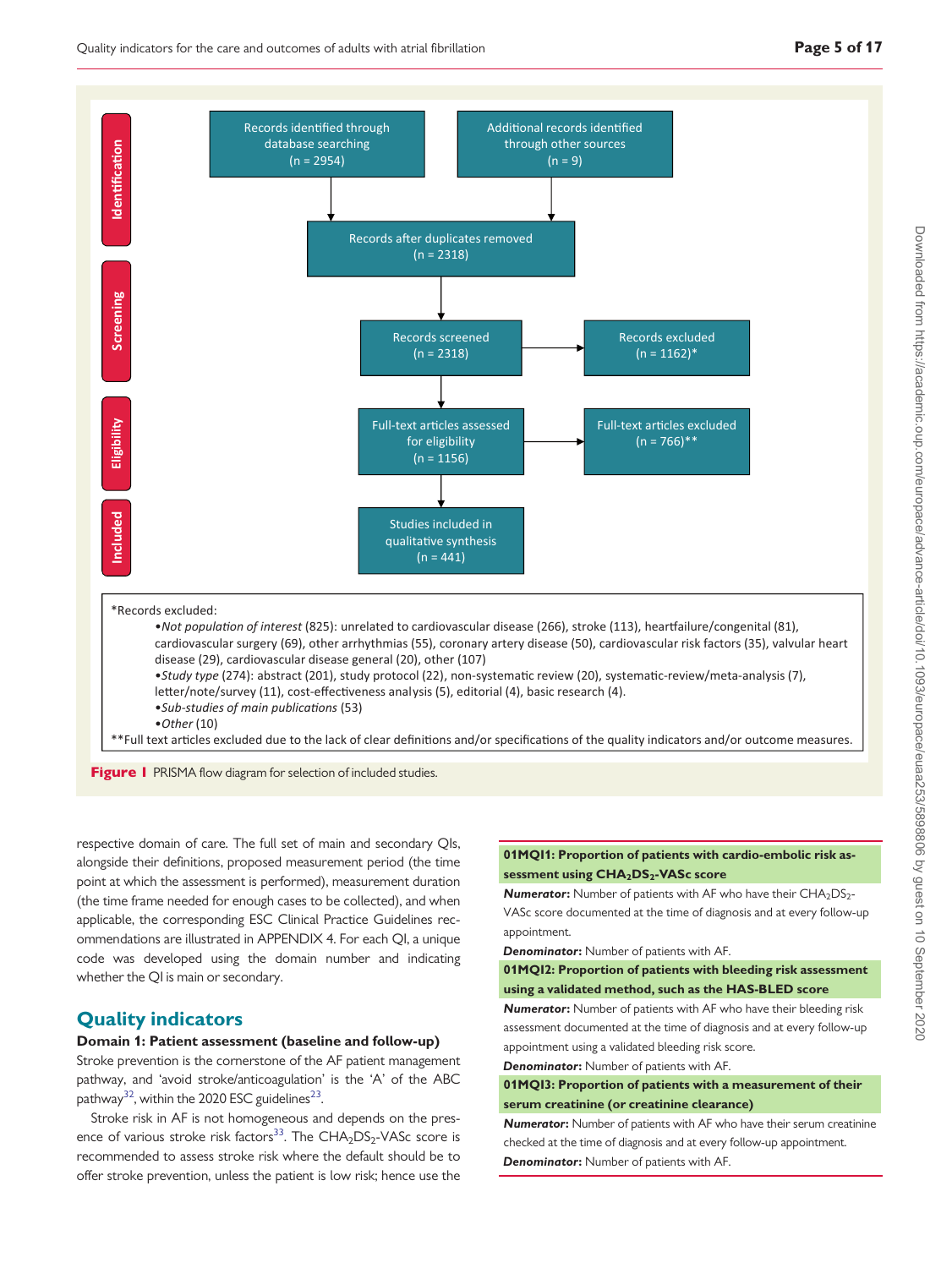<span id="page-4-0"></span>

Figure | PRISMA flow diagram for selection of included studies.

respective domain of care. The full set of main and secondary QIs, alongside their definitions, proposed measurement period (the time point at which the assessment is performed), measurement duration (the time frame needed for enough cases to be collected), and when applicable, the corresponding ESC Clinical Practice Guidelines recommendations are illustrated in APPENDIX 4. For each QI, a unique code was developed using the domain number and indicating whether the QI is main or secondary.

# Quality indicators

#### Domain 1: Patient assessment (baseline and follow-up)

Stroke prevention is the cornerstone of the AF patient management pathway, and 'avoid stroke/anticoagulation' is the 'A' of the ABC pathway<sup>32</sup>, within the 2020 ESC guidelines<sup>23</sup>.

Stroke risk in AF is not homogeneous and depends on the presence of various stroke risk factors<sup>33</sup>. The CHA<sub>2</sub>DS<sub>2</sub>-VASc score is recommended to assess stroke risk where the default should be to offer stroke prevention, unless the patient is low risk; hence use the

#### 01MQI1: Proportion of patients with cardio-embolic risk assessment using CHA<sub>2</sub>DS<sub>2</sub>-VASc score

Numerator: Number of patients with AF who have their CHA<sub>2</sub>DS<sub>2</sub>-VASc score documented at the time of diagnosis and at every follow-up appointment.

**Denominator:** Number of patients with AF.

01MQI2: Proportion of patients with bleeding risk assessment using a validated method, such as the HAS-BLED score

**Numerator:** Number of patients with AF who have their bleeding risk assessment documented at the time of diagnosis and at every follow-up appointment using a validated bleeding risk score.

**Denominator:** Number of patients with AF.

01MQI3: Proportion of patients with a measurement of their serum creatinine (or creatinine clearance)

Numerator: Number of patients with AF who have their serum creatinine checked at the time of diagnosis and at every follow-up appointment. Denominator: Number of patients with AF.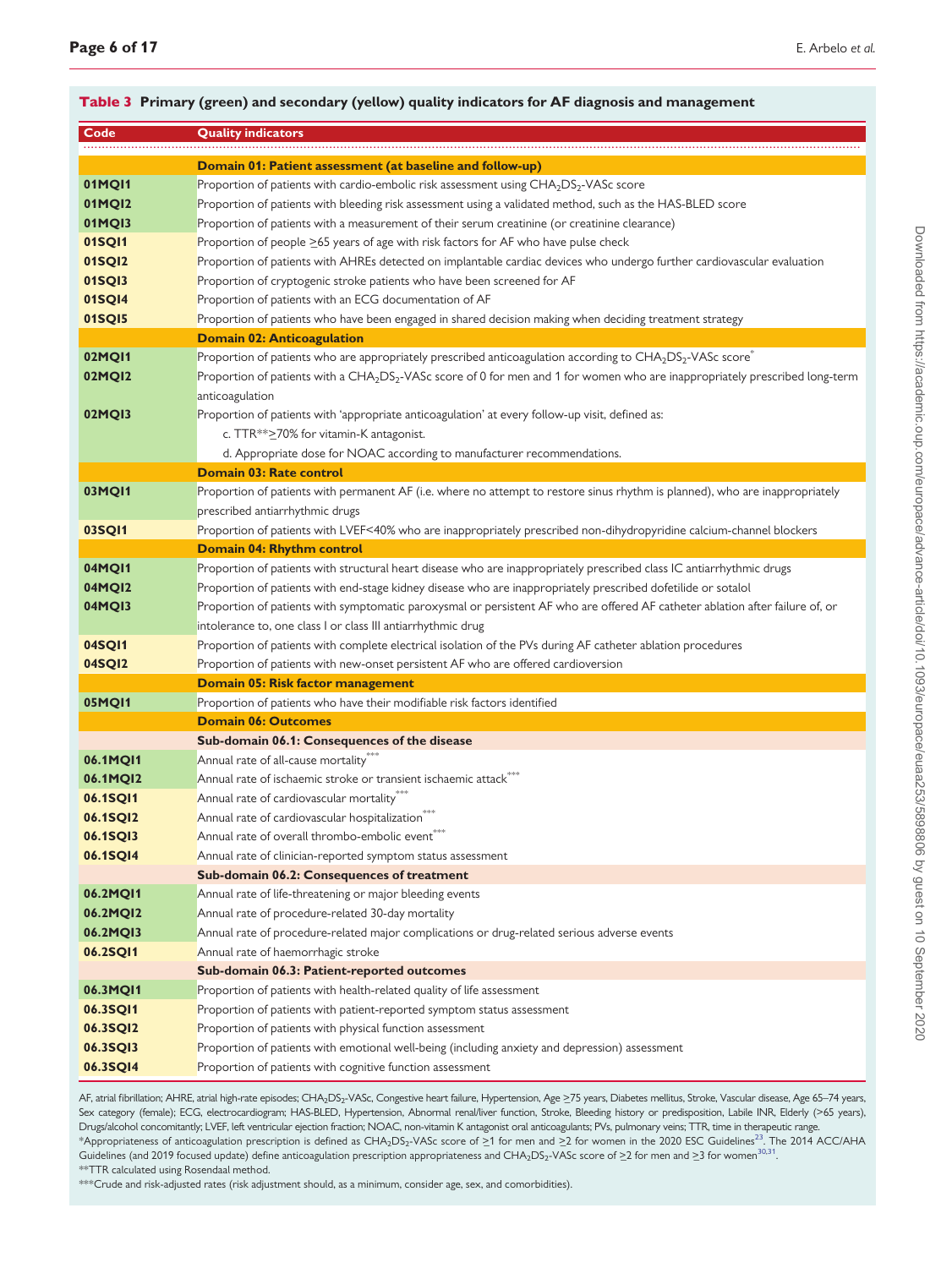| Code                 | <b>Quality indicators</b>                                                                                                                                                  |
|----------------------|----------------------------------------------------------------------------------------------------------------------------------------------------------------------------|
|                      |                                                                                                                                                                            |
| 01MQ11               | Domain 01: Patient assessment (at baseline and follow-up)<br>Proportion of patients with cardio-embolic risk assessment using CHA <sub>2</sub> DS <sub>2</sub> -VASc score |
| 01MQ12               | Proportion of patients with bleeding risk assessment using a validated method, such as the HAS-BLED score                                                                  |
| 01MQI3               | Proportion of patients with a measurement of their serum creatinine (or creatinine clearance)                                                                              |
| 01SQ11               | Proportion of people >65 years of age with risk factors for AF who have pulse check                                                                                        |
| 01SQ12               | Proportion of patients with AHREs detected on implantable cardiac devices who undergo further cardiovascular evaluation                                                    |
| 01SQ13               | Proportion of cryptogenic stroke patients who have been screened for AF                                                                                                    |
| 01SQ14               | Proportion of patients with an ECG documentation of AF                                                                                                                     |
| 01SQ15               | Proportion of patients who have been engaged in shared decision making when deciding treatment strategy                                                                    |
|                      | <b>Domain 02: Anticoagulation</b>                                                                                                                                          |
| 02MQ11               | Proportion of patients who are appropriately prescribed anticoagulation according to CHA <sub>2</sub> DS <sub>2</sub> -VASc score <sup>*</sup>                             |
| 02MQ12               | Proportion of patients with a CHA <sub>2</sub> DS <sub>2</sub> -VASc score of 0 for men and 1 for women who are inappropriately prescribed long-term                       |
|                      | anticoagulation                                                                                                                                                            |
| 02MQ13               | Proportion of patients with 'appropriate anticoagulation' at every follow-up visit, defined as:                                                                            |
|                      | c. TTR**>70% for vitamin-K antagonist.                                                                                                                                     |
|                      | d. Appropriate dose for NOAC according to manufacturer recommendations.                                                                                                    |
|                      | Domain 03: Rate control                                                                                                                                                    |
| 03MQ11               | Proportion of patients with permanent AF (i.e. where no attempt to restore sinus rhythm is planned), who are inappropriately                                               |
|                      | prescribed antiarrhythmic drugs                                                                                                                                            |
| 03SQ11               | Proportion of patients with LVEF<40% who are inappropriately prescribed non-dihydropyridine calcium-channel blockers                                                       |
|                      | Domain 04: Rhythm control                                                                                                                                                  |
| 04MQ11               | Proportion of patients with structural heart disease who are inappropriately prescribed class IC antiarrhythmic drugs                                                      |
| 04MQ12               | Proportion of patients with end-stage kidney disease who are inappropriately prescribed dofetilide or sotalol                                                              |
| 04MQ13               | Proportion of patients with symptomatic paroxysmal or persistent AF who are offered AF catheter ablation after failure of, or                                              |
|                      | intolerance to, one class I or class III antiarrhythmic drug                                                                                                               |
| 04SQ11               | Proportion of patients with complete electrical isolation of the PVs during AF catheter ablation procedures                                                                |
| 04SQ12               | Proportion of patients with new-onset persistent AF who are offered cardioversion                                                                                          |
|                      | Domain 05: Risk factor management                                                                                                                                          |
| 05MQ11               | Proportion of patients who have their modifiable risk factors identified                                                                                                   |
|                      | <b>Domain 06: Outcomes</b>                                                                                                                                                 |
|                      | Sub-domain 06.1: Consequences of the disease                                                                                                                               |
| 06.1MQ11             | Annual rate of all-cause mortality <sup>***</sup><br>Annual rate of ischaemic stroke or transient ischaemic attack <sup>®</sup>                                            |
| 06.1MQ12<br>06.1SQ11 | Annual rate of cardiovascular mortality <sup>***</sup>                                                                                                                     |
| 06.1SQ12             | Annual rate of cardiovascular hospitalization <sup>77</sup>                                                                                                                |
| 06.1SQ13             | Annual rate of overall thrombo-embolic event <sup>***</sup>                                                                                                                |
| 06.1SQ14             | Annual rate of clinician-reported symptom status assessment                                                                                                                |
|                      | Sub-domain 06.2: Consequences of treatment                                                                                                                                 |
| 06.2MQ11             | Annual rate of life-threatening or major bleeding events                                                                                                                   |
| 06.2MQI2             | Annual rate of procedure-related 30-day mortality                                                                                                                          |
| 06.2MQI3             | Annual rate of procedure-related major complications or drug-related serious adverse events                                                                                |
| 06.2SQ11             | Annual rate of haemorrhagic stroke                                                                                                                                         |
|                      | Sub-domain 06.3: Patient-reported outcomes                                                                                                                                 |
| 06.3MQ11             | Proportion of patients with health-related quality of life assessment                                                                                                      |
| 06.3SQ11             | Proportion of patients with patient-reported symptom status assessment                                                                                                     |
| 06.3SQI2             | Proportion of patients with physical function assessment                                                                                                                   |
| 06.3SQI3             | Proportion of patients with emotional well-being (including anxiety and depression) assessment                                                                             |
| 06.3SQ14             | Proportion of patients with cognitive function assessment                                                                                                                  |

<span id="page-5-0"></span>Table 3 Primary (green) and secondary (yellow) quality indicators for AF diagnosis and management

AF, atrial fibrillation; AHRE, atrial high-rate episodes; CHA<sub>2</sub>DS<sub>2</sub>-VASc, Congestive heart failure, Hypertension, Age  $\geq$ 75 years, Diabetes mellitus, Stroke, Vascular disease, Age 65–74 years, Sex category (female); ECG, electrocardiogram; HAS-BLED, Hypertension, Abnormal renal/liver function, Stroke, Bleeding history or predisposition, Labile INR, Elderly (>65 years), Drugs/alcohol concomitantly; LVEF, left ventricular ejection fraction; NOAC, non-vitamin K antagonist oral anticoagulants; PVs, pulmonary veins; TTR, time in therapeutic range.<br>\*Appropriateness of anticoagulation prescrip

Guidelines (and 2019 focused update) define anticoagulation prescription appropriateness and CHA<sub>2</sub>DS<sub>2</sub>-VASc score of  $\geq$ 2 for men and  $\geq$ 3 for women<sup>30,31</sup>.

\*\*TTR calculated using Rosendaal method.

\*\*\*Crude and risk-adjusted rates (risk adjustment should, as a minimum, consider age, sex, and comorbidities).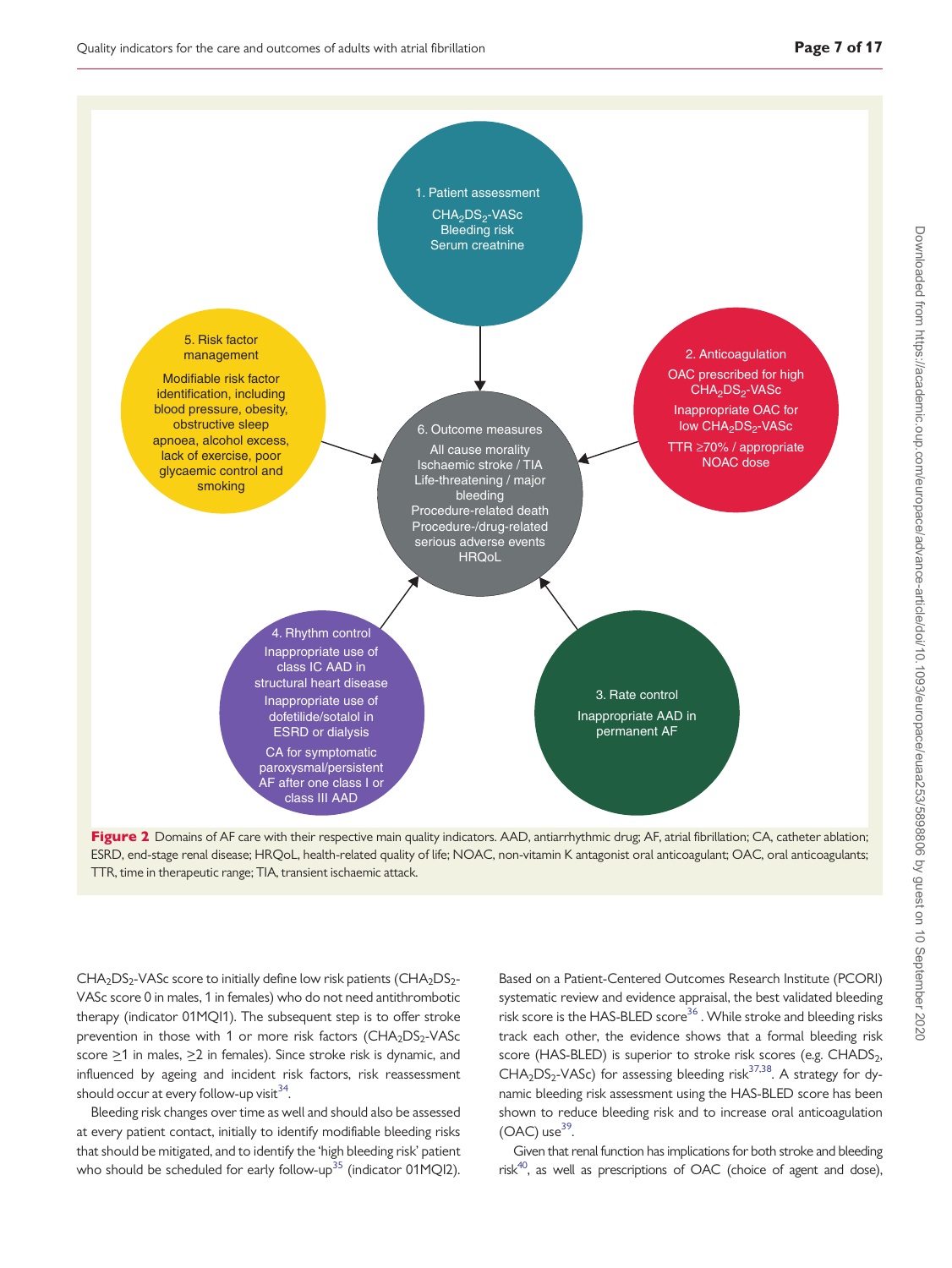<span id="page-6-0"></span>



 $CHA<sub>2</sub>DS<sub>2</sub>-VASc score to initially define low risk patients (CHA<sub>2</sub>DS<sub>2</sub>-$ VASc score 0 in males, 1 in females) who do not need antithrombotic therapy (indicator 01MQI1). The subsequent step is to offer stroke prevention in those with 1 or more risk factors  $(CHA<sub>2</sub>DS<sub>2</sub>-VASC$ score >1 in males, >2 in females). Since stroke risk is dynamic, and influenced by ageing and incident risk factors, risk reassessment should occur at every follow-up visit<sup>[34](#page-13-0)</sup>.

Bleeding risk changes over time as well and should also be assessed at every patient contact, initially to identify modifiable bleeding risks that should be mitigated, and to identify the 'high bleeding risk' patient who should be scheduled for early follow-up<sup>35</sup> (indicator 01MQI2).

Based on a Patient-Centered Outcomes Research Institute (PCORI) systematic review and evidence appraisal, the best validated bleeding risk score is the HAS-BLED score<sup>36</sup>. While stroke and bleeding risks track each other, the evidence shows that a formal bleeding risk score (HAS-BLED) is superior to stroke risk scores (e.g.  $CHADS<sub>2</sub>$ ,  $CHA<sub>2</sub>DS<sub>2</sub>-VASc$ ) for assessing bleeding risk<sup>37,38</sup>. A strategy for dynamic bleeding risk assessment using the HAS-BLED score has been shown to reduce bleeding risk and to increase oral anticoagulation  $(OAC)$  use<sup>39</sup>.

Given that renal function has implications for both stroke and bleeding risk $40$ , as well as prescriptions of OAC (choice of agent and dose),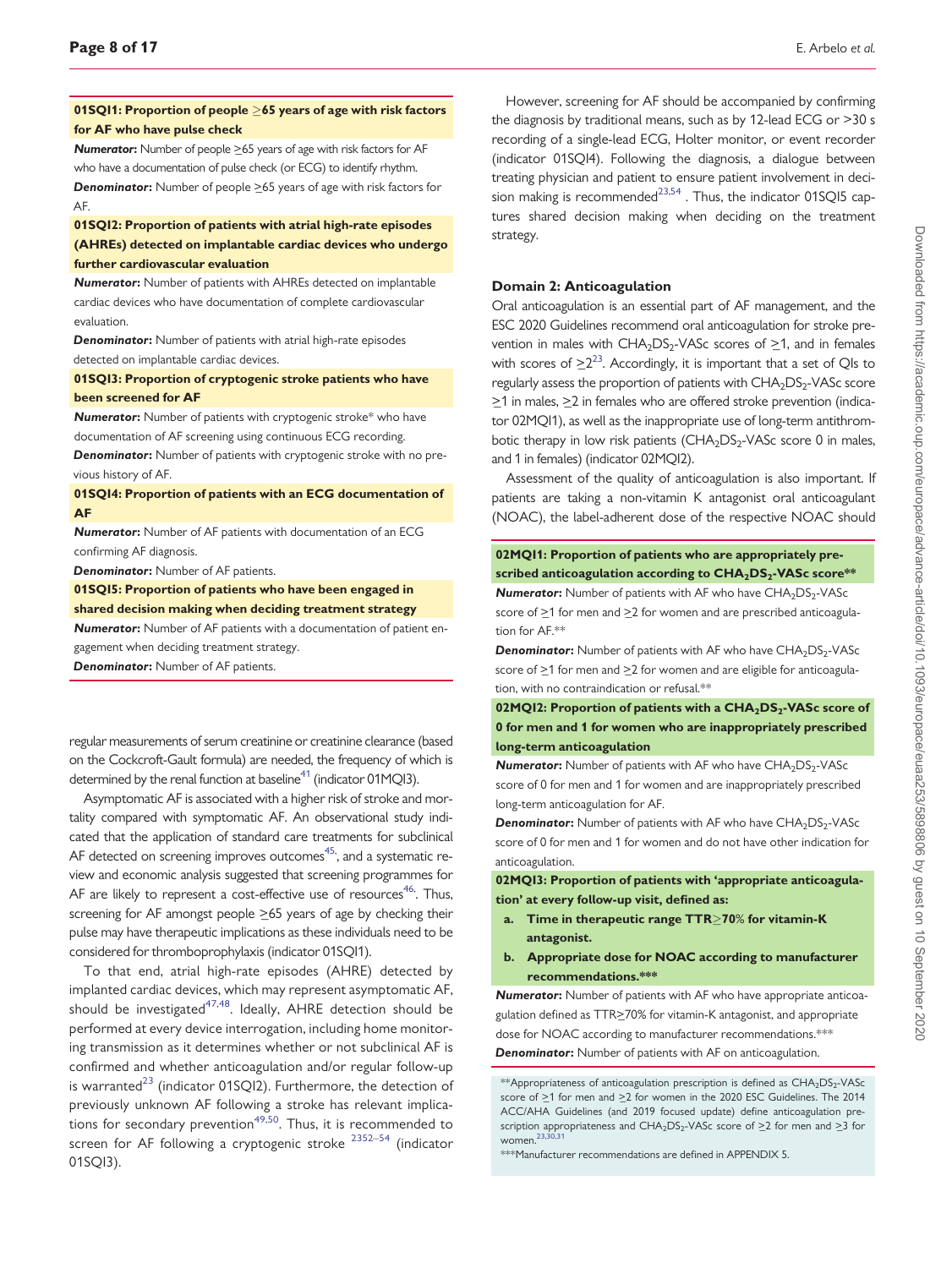<span id="page-7-0"></span>

| 01SQI1: Proportion of people $>65$ years of age with risk factors            |  |  |
|------------------------------------------------------------------------------|--|--|
| for AF who have pulse check                                                  |  |  |
| <b>Numerator:</b> Number of people ≥65 years of age with risk factors for AF |  |  |
| who have a documentation of pulse check (or ECG) to identify rhythm.         |  |  |

Denominator: Number of people  $\geq$ 65 years of age with risk factors for AF.

01SQI2: Proportion of patients with atrial high-rate episodes (AHREs) detected on implantable cardiac devices who undergo further cardiovascular evaluation

Numerator: Number of patients with AHREs detected on implantable cardiac devices who have documentation of complete cardiovascular evaluation.

**Denominator:** Number of patients with atrial high-rate episodes detected on implantable cardiac devices.

#### 01SQI3: Proportion of cryptogenic stroke patients who have been screened for AF

Numerator: Number of patients with cryptogenic stroke\* who have documentation of AF screening using continuous ECG recording.

Denominator: Number of patients with cryptogenic stroke with no previous history of AF.

01SQI4: Proportion of patients with an ECG documentation of AF

Numerator: Number of AF patients with documentation of an ECG confirming AF diagnosis.

**Denominator:** Number of AF patients.

01SQI5: Proportion of patients who have been engaged in shared decision making when deciding treatment strategy

Numerator: Number of AF patients with a documentation of patient engagement when deciding treatment strategy.

**Denominator:** Number of AF patients.

regular measurements of serum creatinine or creatinine clearance (based on the Cockcroft-Gault formula) are needed, the frequency of which is determined by the renal function at baseline<sup>41</sup> (indicator 01MQI3).

Asymptomatic AF is associated with a higher risk of stroke and mortality compared with symptomatic AF. An observational study indicated that the application of standard care treatments for subclinical AF detected on screening improves outcomes<sup>45,</sup>, and a systematic review and economic analysis suggested that screening programmes for AF are likely to represent a cost-effective use of resources<sup>46</sup>. Thus, screening for AF amongst people  $\geq$  65 years of age by checking their pulse may have therapeutic implications as these individuals need to be considered for thromboprophylaxis (indicator 01SQI1).

To that end, atrial high-rate episodes (AHRE) detected by implanted cardiac devices, which may represent asymptomatic AF, should be investigated<sup>[47,48](#page-14-0)</sup>. Ideally, AHRE detection should be performed at every device interrogation, including home monitoring transmission as it determines whether or not subclinical AF is confirmed and whether anticoagulation and/or regular follow-up is warranted<sup>[23](#page-13-0)</sup> (indicator 01SQI2). Furthermore, the detection of previously unknown AF following a stroke has relevant implica-tions for secondary prevention<sup>[49](#page-14-0),50</sup>. Thus, it is recommended to screen for AF following a cryptogenic stroke <sup>[23](#page-13-0)[52–54](#page-14-0)</sup> (indicator 01SQI3).

However, screening for AF should be accompanied by confirming the diagnosis by traditional means, such as by 12-lead ECG or >30 s recording of a single-lead ECG, Holter monitor, or event recorder (indicator 01SQI4). Following the diagnosis, a dialogue between treating physician and patient to ensure patient involvement in decision making is recommended $^{23,54}$  $^{23,54}$  $^{23,54}$  $^{23,54}$  $^{23,54}$ . Thus, the indicator 01SQI5 captures shared decision making when deciding on the treatment strategy.

#### Domain 2: Anticoagulation

Oral anticoagulation is an essential part of AF management, and the ESC 2020 Guidelines recommend oral anticoagulation for stroke prevention in males with  $CHA<sub>2</sub>DS<sub>2</sub>-VASc$  scores of  $\geq$ 1, and in females with scores of  $\geq 2^{23}$  $\geq 2^{23}$  $\geq 2^{23}$ . Accordingly, it is important that a set of QIs to regularly assess the proportion of patients with CHA<sub>2</sub>DS<sub>2</sub>-VASc score  $\geq$ 1 in males,  $\geq$ 2 in females who are offered stroke prevention (indicator 02MQI1), as well as the inappropriate use of long-term antithrombotic therapy in low risk patients (CHA<sub>2</sub>DS<sub>2</sub>-VASc score 0 in males, and 1 in females) (indicator 02MQI2).

Assessment of the quality of anticoagulation is also important. If patients are taking a non-vitamin K antagonist oral anticoagulant (NOAC), the label-adherent dose of the respective NOAC should

### 02MQI1: Proportion of patients who are appropriately prescribed anticoagulation according to CHA<sub>2</sub>DS<sub>2</sub>-VASc score\*\* **Numerator:** Number of patients with AF who have  $CHA<sub>2</sub>DS<sub>2</sub>-VASC$

score of  $\geq$ 1 for men and  $\geq$ 2 for women and are prescribed anticoagulation for AF.\*\*

**Denominator:** Number of patients with AF who have  $CHA<sub>2</sub>DS<sub>2</sub>-VASC$ score of  $\geq$ 1 for men and  $\geq$ 2 for women and are eligible for anticoagulation, with no contraindication or refusal.\*\*

02MQI2: Proportion of patients with a  $CHA<sub>2</sub>DS<sub>2</sub>$ -VASc score of 0 for men and 1 for women who are inappropriately prescribed long-term anticoagulation

**Numerator:** Number of patients with AF who have  $CHA<sub>2</sub>DS<sub>2</sub>-VASC$ score of 0 for men and 1 for women and are inappropriately prescribed long-term anticoagulation for AF.

**Denominator:** Number of patients with AF who have  $CHA<sub>2</sub>DS<sub>2</sub>-VASC$ score of 0 for men and 1 for women and do not have other indication for anticoagulation.

02MQI3: Proportion of patients with 'appropriate anticoagulation' at every follow-up visit, defined as:

- a.  $\,$  Time in therapeutic range  $\mathrm{\textsf{TTR}\geq}$ 70% for vitamin-K antagonist.
- b. Appropriate dose for NOAC according to manufacturer recommendations.\*\*\*

Numerator: Number of patients with AF who have appropriate anticoagulation defined as TTR $\geq$ 70% for vitamin-K antagonist, and appropriate dose for NOAC according to manufacturer recommendations.\*\*\* **Denominator:** Number of patients with AF on anticoagulation.

\*\*\*Manufacturer recommendations are defined in APPENDIX 5.

 $**$ Appropriateness of anticoagulation prescription is defined as  $CHA<sub>2</sub>DS<sub>2</sub>-VASc$ score of  $\geq$ 1 for men and  $\geq$ 2 for women in the 2020 ESC Guidelines. The 2014 ACC/AHA Guidelines (and 2019 focused update) define anticoagulation prescription appropriateness and CHA<sub>2</sub>DS<sub>2</sub>-VASc score of  $\geq$ 2 for men and  $\geq$ 3 for women.<sup>[23,30,31](#page-13-0)</sup>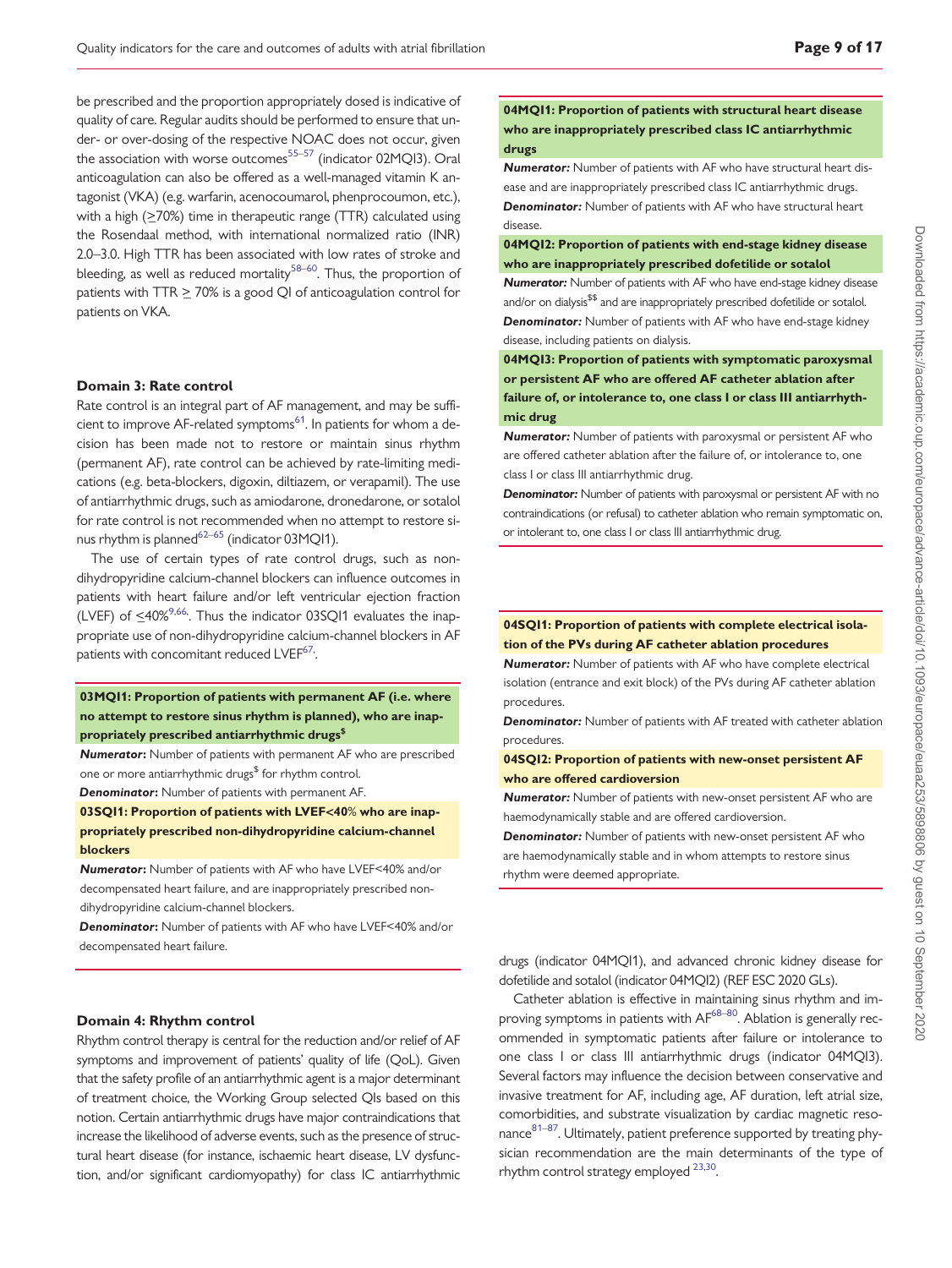<span id="page-8-0"></span>be prescribed and the proportion appropriately dosed is indicative of quality of care. Regular audits should be performed to ensure that under- or over-dosing of the respective NOAC does not occur, given the association with worse outcomes $55-57$  (indicator 02MQI3). Oral anticoagulation can also be offered as a well-managed vitamin K antagonist (VKA) (e.g. warfarin, acenocoumarol, phenprocoumon, etc.), with a high ( $\geq$ 70%) time in therapeutic range (TTR) calculated using the Rosendaal method, with international normalized ratio (INR) 2.0–3.0. High TTR has been associated with low rates of stroke and bleeding, as well as reduced mortality<sup>58–60</sup>. Thus, the proportion of patients with  $TTR \ge 70\%$  is a good QI of anticoagulation control for patients on VKA.

#### Domain 3: Rate control

Rate control is an integral part of AF management, and may be sufficient to improve AF-related symptoms<sup>61</sup>. In patients for whom a decision has been made not to restore or maintain sinus rhythm (permanent AF), rate control can be achieved by rate-limiting medications (e.g. beta-blockers, digoxin, diltiazem, or verapamil). The use of antiarrhythmic drugs, such as amiodarone, dronedarone, or sotalol for rate control is not recommended when no attempt to restore sinus rhythm is planned $62-65$  $62-65$  $62-65$  (indicator 03MQI1).

The use of certain types of rate control drugs, such as nondihydropyridine calcium-channel blockers can influence outcomes in patients with heart failure and/or left ventricular ejection fraction (LVEF) of  $\leq$ 40%<sup>[9](#page-13-0)[,66,](#page-14-0)</sup> Thus the indicator 03SQI1 evaluates the inappropriate use of non-dihydropyridine calcium-channel blockers in AF patients with concomitant reduced  $LVEF^{67}$ . .

03MQI1: Proportion of patients with permanent AF (i.e. where no attempt to restore sinus rhythm is planned), who are inappropriately prescribed antiarrhythmic drugs<sup>\$</sup>

Numerator: Number of patients with permanent AF who are prescribed one or more antiarrhythmic drugs<sup>\$</sup> for rhythm control.

**Denominator:** Number of patients with permanent AF.

03SQI1: Proportion of patients with LVEF<40% who are inappropriately prescribed non-dihydropyridine calcium-channel blockers

Numerator: Number of patients with AF who have LVEF<40% and/or decompensated heart failure, and are inappropriately prescribed nondihydropyridine calcium-channel blockers.

Denominator: Number of patients with AF who have LVEF<40% and/or decompensated heart failure.

#### Domain 4: Rhythm control

Rhythm control therapy is central for the reduction and/or relief of AF symptoms and improvement of patients' quality of life (QoL). Given that the safety profile of an antiarrhythmic agent is a major determinant of treatment choice, the Working Group selected QIs based on this notion. Certain antiarrhythmic drugs have major contraindications that increase the likelihood of adverse events, such as the presence of structural heart disease (for instance, ischaemic heart disease, LV dysfunction, and/or significant cardiomyopathy) for class IC antiarrhythmic

#### 04MQI1: Proportion of patients with structural heart disease who are inappropriately prescribed class IC antiarrhythmic drugs

Numerator: Number of patients with AF who have structural heart disease and are inappropriately prescribed class IC antiarrhythmic drugs. Denominator: Number of patients with AF who have structural heart disease.

#### 04MQI2: Proportion of patients with end-stage kidney disease who are inappropriately prescribed dofetilide or sotalol

Numerator: Number of patients with AF who have end-stage kidney disease and/or on dialysis<sup>\$\$</sup> and are inappropriately prescribed dofetilide or sotalol. Denominator: Number of patients with AF who have end-stage kidney disease, including patients on dialysis.

04MQI3: Proportion of patients with symptomatic paroxysmal or persistent AF who are offered AF catheter ablation after failure of, or intolerance to, one class I or class III antiarrhythmic drug

Numerator: Number of patients with paroxysmal or persistent AF who are offered catheter ablation after the failure of, or intolerance to, one class I or class III antiarrhythmic drug.

**Denominator:** Number of patients with paroxysmal or persistent AF with no contraindications (or refusal) to catheter ablation who remain symptomatic on, or intolerant to, one class I or class III antiarrhythmic drug.

### 04SQI1: Proportion of patients with complete electrical isolation of the PVs during AF catheter ablation procedures

**Numerator:** Number of patients with AF who have complete electrical isolation (entrance and exit block) of the PVs during AF catheter ablation procedures.

**Denominator:** Number of patients with AF treated with catheter ablation procedures.

#### 04SQI2: Proportion of patients with new-onset persistent AF who are offered cardioversion

Numerator: Number of patients with new-onset persistent AF who are haemodynamically stable and are offered cardioversion.

Denominator: Number of patients with new-onset persistent AF who are haemodynamically stable and in whom attempts to restore sinus rhythm were deemed appropriate.

drugs (indicator 04MQI1), and advanced chronic kidney disease for dofetilide and sotalol (indicator 04MQI2) (REF ESC 2020 GLs).

Catheter ablation is effective in maintaining sinus rhythm and improving symptoms in patients with AF<sup>68–80</sup>. Ablation is generally recommended in symptomatic patients after failure or intolerance to one class I or class III antiarrhythmic drugs (indicator 04MQI3). Several factors may influence the decision between conservative and invasive treatment for AF, including age, AF duration, left atrial size, comorbidities, and substrate visualization by cardiac magnetic reso-nance<sup>[81](#page-14-0)–[87](#page-15-0)</sup>. Ultimately, patient preference supported by treating physician recommendation are the main determinants of the type of rhythm control strategy employed <sup>[23](#page-13-0),[30](#page-13-0)</sup>.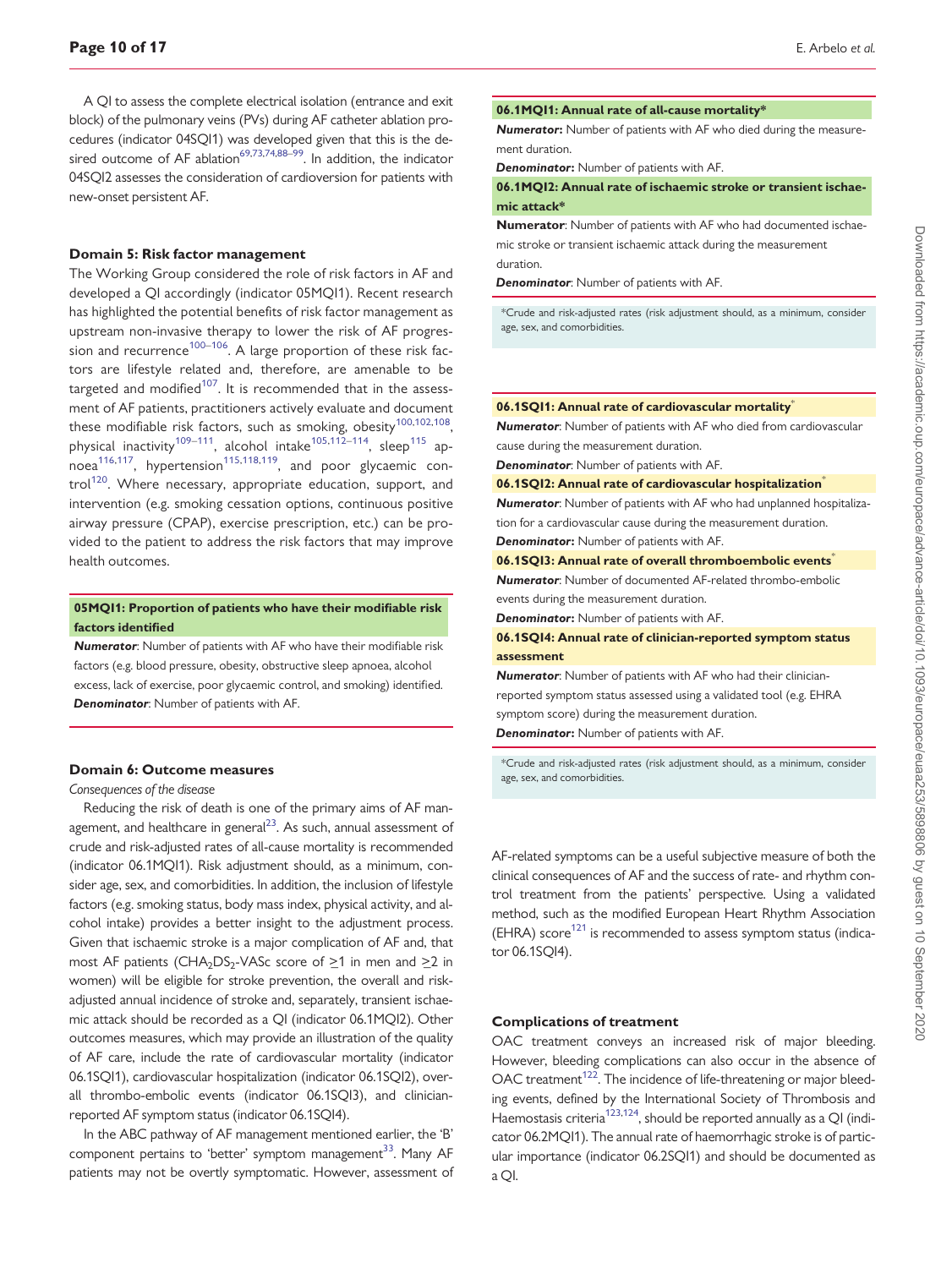<span id="page-9-0"></span>A QI to assess the complete electrical isolation (entrance and exit block) of the pulmonary veins (PVs) during AF catheter ablation procedures (indicator 04SQI1) was developed given that this is the de-sired outcome of AF ablation<sup>69,73,[74](#page-14-0),88–99</sup>. In addition, the indicator 04SQI2 assesses the consideration of cardioversion for patients with new-onset persistent AF.

#### Domain 5: Risk factor management

The Working Group considered the role of risk factors in AF and developed a QI accordingly (indicator 05MQI1). Recent research has highlighted the potential benefits of risk factor management as upstream non-invasive therapy to lower the risk of AF progression and recurrence<sup>100–106</sup>. A large proportion of these risk factors are lifestyle related and, therefore, are amenable to be targeted and modified $107$ . It is recommended that in the assessment of AF patients, practitioners actively evaluate and document these modifiable risk factors, such as smoking, obesity<sup>[100](#page-15-0),102,108</sup>, physical inactivity<sup>109–111</sup>, alcohol intake<sup>105,112–114</sup>, sleep<sup>[115](#page-15-0)</sup> ap-noea<sup>116,117</sup>, hypertension<sup>[115](#page-15-0),118,119</sup>, and poor glycaemic con-trol<sup>[120](#page-15-0)</sup>. Where necessary, appropriate education, support, and intervention (e.g. smoking cessation options, continuous positive airway pressure (CPAP), exercise prescription, etc.) can be provided to the patient to address the risk factors that may improve health outcomes.

#### 05MQI1: Proportion of patients who have their modifiable risk factors identified

Numerator: Number of patients with AF who have their modifiable risk factors (e.g. blood pressure, obesity, obstructive sleep apnoea, alcohol excess, lack of exercise, poor glycaemic control, and smoking) identified. **Denominator:** Number of patients with AF.

#### Domain 6: Outcome measures

#### Consequences of the disease

Reducing the risk of death is one of the primary aims of AF management, and healthcare in general<sup>23</sup>. As such, annual assessment of crude and risk-adjusted rates of all-cause mortality is recommended (indicator 06.1MQI1). Risk adjustment should, as a minimum, consider age, sex, and comorbidities. In addition, the inclusion of lifestyle factors (e.g. smoking status, body mass index, physical activity, and alcohol intake) provides a better insight to the adjustment process. Given that ischaemic stroke is a major complication of AF and, that most AF patients (CHA<sub>2</sub>DS<sub>2</sub>-VASc score of  $\geq$ 1 in men and  $\geq$ 2 in women) will be eligible for stroke prevention, the overall and riskadjusted annual incidence of stroke and, separately, transient ischaemic attack should be recorded as a QI (indicator 06.1MQI2). Other outcomes measures, which may provide an illustration of the quality of AF care, include the rate of cardiovascular mortality (indicator 06.1SQI1), cardiovascular hospitalization (indicator 06.1SQI2), overall thrombo-embolic events (indicator 06.1SQI3), and clinicianreported AF symptom status (indicator 06.1SQI4).

In the ABC pathway of AF management mentioned earlier, the 'B' component pertains to 'better' symptom management<sup>[33](#page-13-0)</sup>. Many AF patients may not be overtly symptomatic. However, assessment of

#### 06.1MQI1: Annual rate of all-cause mortality\*

**Numerator:** Number of patients with AF who died during the measurement duration.

Denominator: Number of patients with AF.

#### 06.1MQI2: Annual rate of ischaemic stroke or transient ischaemic attack\*

Numerator: Number of patients with AF who had documented ischaemic stroke or transient ischaemic attack during the measurement duration.

Denominator: Number of patients with AF.

\*Crude and risk-adjusted rates (risk adjustment should, as a minimum, consider age, sex, and comorbidities.

#### 06.1SQI1: Annual rate of cardiovascular mortality

Numerator: Number of patients with AF who died from cardiovascular cause during the measurement duration.

Denominator: Number of patients with AF.

06.1SQI2: Annual rate of cardiovascular hospitalization<sup>\*</sup>

Numerator: Number of patients with AF who had unplanned hospitalization for a cardiovascular cause during the measurement duration.

Denominator: Number of patients with AF.

06.1SQI3: Annual rate of overall thromboembolic events

Numerator: Number of documented AF-related thrombo-embolic events during the measurement duration.

**Denominator:** Number of patients with AF.

06.1SQI4: Annual rate of clinician-reported symptom status assessment

Numerator: Number of patients with AF who had their clinicianreported symptom status assessed using a validated tool (e.g. EHRA symptom score) during the measurement duration.

Denominator: Number of patients with AF.

\*Crude and risk-adjusted rates (risk adjustment should, as a minimum, consider age, sex, and comorbidities.

AF-related symptoms can be a useful subjective measure of both the clinical consequences of AF and the success of rate- and rhythm control treatment from the patients' perspective. Using a validated method, such as the modified European Heart Rhythm Association (EHRA) score<sup>121</sup> is recommended to assess symptom status (indicator 06.1SQI4).

#### Complications of treatment

OAC treatment conveys an increased risk of major bleeding. However, bleeding complications can also occur in the absence of OAC treatment<sup>122</sup>. The incidence of life-threatening or major bleeding events, defined by the International Society of Thrombosis and Haemostasis criteria<sup>123,124</sup>, should be reported annually as a QI (indicator 06.2MQI1). The annual rate of haemorrhagic stroke is of particular importance (indicator 06.2SQI1) and should be documented as a QI.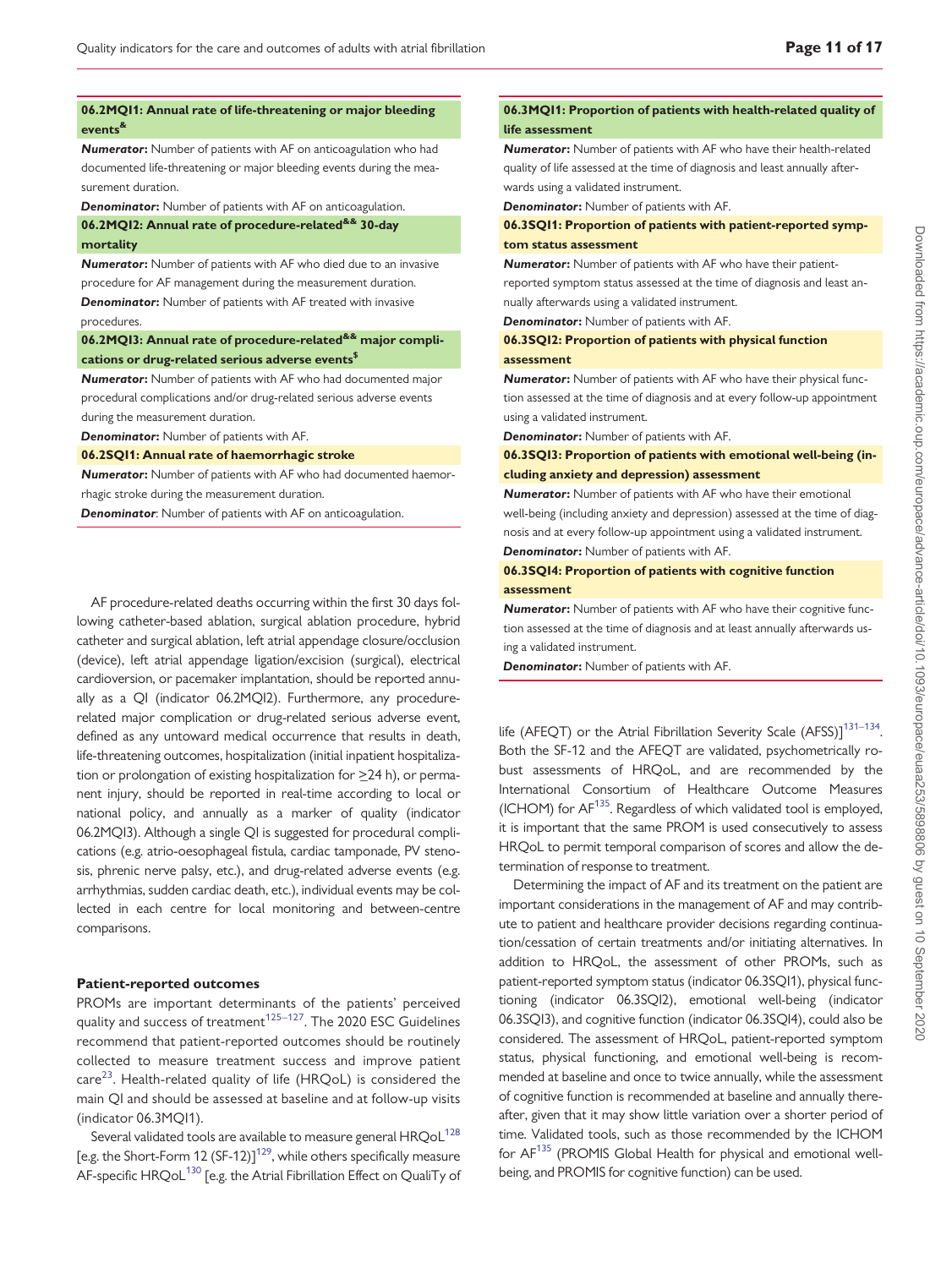#### <span id="page-10-0"></span>06.2MQI1: Annual rate of life-threatening or major bleeding events&

Numerator: Number of patients with AF on anticoagulation who had documented life-threatening or major bleeding events during the measurement duration.

**Denominator:** Number of patients with AF on anticoagulation.

06.2MQI2: Annual rate of procedure-related<sup>&&</sup> 30-day mortality

Numerator: Number of patients with AF who died due to an invasive procedure for AF management during the measurement duration. **Denominator:** Number of patients with AF treated with invasive procedures.

06.2MQI3: Annual rate of procedure-related<sup>&&</sup> major complications or drug-related serious adverse events<sup>\$</sup>

Numerator: Number of patients with AF who had documented major procedural complications and/or drug-related serious adverse events during the measurement duration.

**Denominator:** Number of patients with AF.

06.2SQI1: Annual rate of haemorrhagic stroke

Numerator: Number of patients with AF who had documented haemorrhagic stroke during the measurement duration.

**Denominator:** Number of patients with AF on anticoagulation.

AF procedure-related deaths occurring within the first 30 days following catheter-based ablation, surgical ablation procedure, hybrid catheter and surgical ablation, left atrial appendage closure/occlusion (device), left atrial appendage ligation/excision (surgical), electrical cardioversion, or pacemaker implantation, should be reported annually as a QI (indicator 06.2MQI2). Furthermore, any procedurerelated major complication or drug-related serious adverse event, defined as any untoward medical occurrence that results in death, life-threatening outcomes, hospitalization (initial inpatient hospitalization or prolongation of existing hospitalization for  $\geq$ 24 h), or permanent injury, should be reported in real-time according to local or national policy, and annually as a marker of quality (indicator 06.2MQI3). Although a single QI is suggested for procedural complications (e.g. atrio-oesophageal fistula, cardiac tamponade, PV stenosis, phrenic nerve palsy, etc.), and drug-related adverse events (e.g. arrhythmias, sudden cardiac death, etc.), individual events may be collected in each centre for local monitoring and between-centre comparisons.

#### Patient-reported outcomes

PROMs are important determinants of the patients' perceived quality and success of treatment<sup>[125](#page-15-0)–[127](#page-15-0)</sup>. The 2020 ESC Guidelines recommend that patient-reported outcomes should be routinely collected to measure treatment success and improve patient  $care<sup>23</sup>$ . Health-related quality of life (HRQoL) is considered the main QI and should be assessed at baseline and at follow-up visits (indicator 06.3MQI1).

Several validated tools are available to measure general  $H R Q o L^{128}$ [e.g. the Short-Form 12 (SF-12)]<sup>129</sup>, while others specifically measure AF-specific HRQoL<sup>130</sup> [e.g. the Atrial Fibrillation Effect on QualiTy of

#### 06.3MQI1: Proportion of patients with health-related quality of life assessment

Numerator: Number of patients with AF who have their health-related quality of life assessed at the time of diagnosis and least annually afterwards using a validated instrument.

**Denominator:** Number of patients with AF.

#### 06.3SQI1: Proportion of patients with patient-reported symptom status assessment

Numerator: Number of patients with AF who have their patientreported symptom status assessed at the time of diagnosis and least annually afterwards using a validated instrument.

**Denominator:** Number of patients with AF.

#### 06.3SQI2: Proportion of patients with physical function assessment

Numerator: Number of patients with AF who have their physical function assessed at the time of diagnosis and at every follow-up appointment using a validated instrument.

**Denominator:** Number of patients with AF.

06.3SQI3: Proportion of patients with emotional well-being (including anxiety and depression) assessment

Numerator: Number of patients with AF who have their emotional well-being (including anxiety and depression) assessed at the time of diagnosis and at every follow-up appointment using a validated instrument.

**Denominator:** Number of patients with AF.

06.3SQI4: Proportion of patients with cognitive function assessment

Numerator: Number of patients with AF who have their cognitive function assessed at the time of diagnosis and at least annually afterwards using a validated instrument.

Denominator: Number of patients with AF.

life (AFEQT) or the Atrial Fibrillation Severity Scale (AFSS)]<sup>131-134</sup>. Both the SF-12 and the AFEQT are validated, psychometrically robust assessments of HRQoL, and are recommended by the International Consortium of Healthcare Outcome Measures (ICHOM) for  $AF^{135}$ . Regardless of which validated tool is employed, it is important that the same PROM is used consecutively to assess HRQoL to permit temporal comparison of scores and allow the determination of response to treatment.

Determining the impact of AF and its treatment on the patient are important considerations in the management of AF and may contribute to patient and healthcare provider decisions regarding continuation/cessation of certain treatments and/or initiating alternatives. In addition to HRQoL, the assessment of other PROMs, such as patient-reported symptom status (indicator 06.3SQI1), physical functioning (indicator 06.3SQI2), emotional well-being (indicator 06.3SQI3), and cognitive function (indicator 06.3SQI4), could also be considered. The assessment of HRQoL, patient-reported symptom status, physical functioning, and emotional well-being is recommended at baseline and once to twice annually, while the assessment of cognitive function is recommended at baseline and annually thereafter, given that it may show little variation over a shorter period of time. Validated tools, such as those recommended by the ICHOM for AF<sup>[135](#page-16-0)</sup> (PROMIS Global Health for physical and emotional wellbeing, and PROMIS for cognitive function) can be used.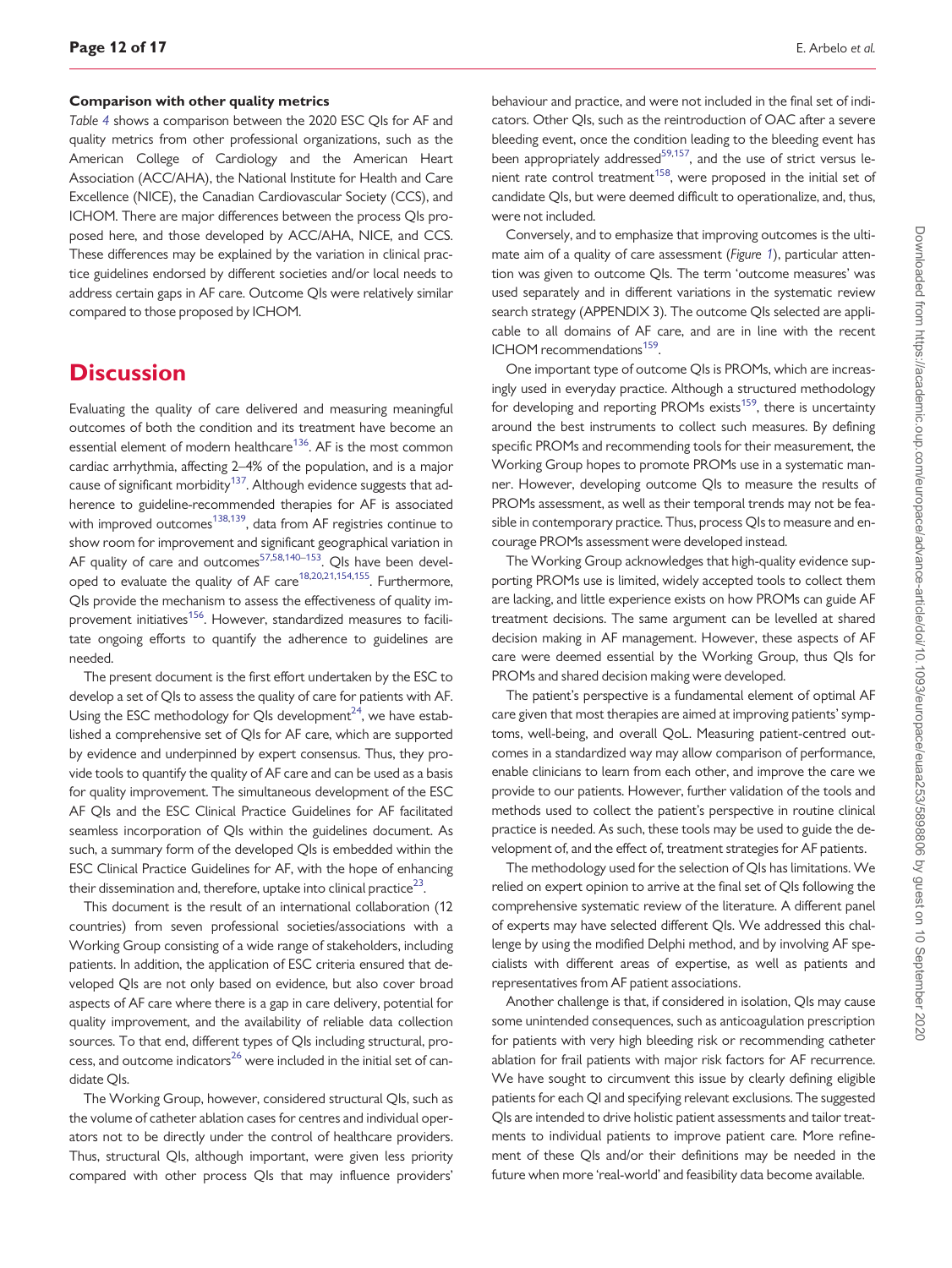#### <span id="page-11-0"></span>Comparison with other quality metrics

Table [4](#page-12-0) shows a comparison between the 2020 ESC QIs for AF and quality metrics from other professional organizations, such as the American College of Cardiology and the American Heart Association (ACC/AHA), the National Institute for Health and Care Excellence (NICE), the Canadian Cardiovascular Society (CCS), and ICHOM. There are major differences between the process QIs proposed here, and those developed by ACC/AHA, NICE, and CCS. These differences may be explained by the variation in clinical practice guidelines endorsed by different societies and/or local needs to address certain gaps in AF care. Outcome QIs were relatively similar compared to those proposed by ICHOM.

# **Discussion**

Evaluating the quality of care delivered and measuring meaningful outcomes of both the condition and its treatment have become an essential element of modern healthcare<sup>136</sup>. AF is the most common cardiac arrhythmia, affecting 2–4% of the population, and is a major cause of significant morbidity<sup>137</sup>. Although evidence suggests that adherence to guideline-recommended therapies for AF is associated with improved outcomes<sup>138,139</sup>, data from AF registries continue to show room for improvement and significant geographical variation in AF quality of care and outcomes<sup>[57,58](#page-14-0)[,140–153](#page-16-0)</sup>. Ols have been devel-oped to evaluate the quality of AF care<sup>18,20,[21](#page-13-0)[,154,155](#page-16-0)</sup>. Furthermore, QIs provide the mechanism to assess the effectiveness of quality improvement initiatives<sup>156</sup>. However, standardized measures to facilitate ongoing efforts to quantify the adherence to guidelines are needed.

The present document is the first effort undertaken by the ESC to develop a set of QIs to assess the quality of care for patients with AF. Using the ESC methodology for QIs development<sup>[24](#page-13-0)</sup>, we have established a comprehensive set of QIs for AF care, which are supported by evidence and underpinned by expert consensus. Thus, they provide tools to quantify the quality of AF care and can be used as a basis for quality improvement. The simultaneous development of the ESC AF QIs and the ESC Clinical Practice Guidelines for AF facilitated seamless incorporation of QIs within the guidelines document. As such, a summary form of the developed QIs is embedded within the ESC Clinical Practice Guidelines for AF, with the hope of enhancing their dissemination and, therefore, uptake into clinical practice<sup>[23](#page-13-0)</sup>.

This document is the result of an international collaboration (12 countries) from seven professional societies/associations with a Working Group consisting of a wide range of stakeholders, including patients. In addition, the application of ESC criteria ensured that developed QIs are not only based on evidence, but also cover broad aspects of AF care where there is a gap in care delivery, potential for quality improvement, and the availability of reliable data collection sources. To that end, different types of QIs including structural, pro-cess, and outcome indicators<sup>[26](#page-13-0)</sup> were included in the initial set of candidate QIs.

The Working Group, however, considered structural QIs, such as the volume of catheter ablation cases for centres and individual operators not to be directly under the control of healthcare providers. Thus, structural QIs, although important, were given less priority compared with other process QIs that may influence providers'

behaviour and practice, and were not included in the final set of indicators. Other QIs, such as the reintroduction of OAC after a severe bleeding event, once the condition leading to the bleeding event has been appropriately addressed<sup>59,[157](#page-16-0)</sup>, and the use of strict versus le-nient rate control treatment<sup>[158](#page-16-0)</sup>, were proposed in the initial set of candidate QIs, but were deemed difficult to operationalize, and, thus, were not included.

Conversely, and to emphasize that improving outcomes is the ulti-mate aim of a quality of care assessment (Figure [1](#page-4-0)), particular attention was given to outcome QIs. The term 'outcome measures' was used separately and in different variations in the systematic review search strategy (APPENDIX 3). The outcome QIs selected are applicable to all domains of AF care, and are in line with the recent ICHOM recommendations<sup>159</sup>.

One important type of outcome QIs is PROMs, which are increasingly used in everyday practice. Although a structured methodology for developing and reporting PROMs exists<sup>159</sup>, there is uncertainty around the best instruments to collect such measures. By defining specific PROMs and recommending tools for their measurement, the Working Group hopes to promote PROMs use in a systematic manner. However, developing outcome QIs to measure the results of PROMs assessment, as well as their temporal trends may not be feasible in contemporary practice. Thus, process QIs to measure and encourage PROMs assessment were developed instead.

The Working Group acknowledges that high-quality evidence supporting PROMs use is limited, widely accepted tools to collect them are lacking, and little experience exists on how PROMs can guide AF treatment decisions. The same argument can be levelled at shared decision making in AF management. However, these aspects of AF care were deemed essential by the Working Group, thus QIs for PROMs and shared decision making were developed.

The patient's perspective is a fundamental element of optimal AF care given that most therapies are aimed at improving patients' symptoms, well-being, and overall QoL. Measuring patient-centred outcomes in a standardized way may allow comparison of performance, enable clinicians to learn from each other, and improve the care we provide to our patients. However, further validation of the tools and methods used to collect the patient's perspective in routine clinical practice is needed. As such, these tools may be used to guide the development of, and the effect of, treatment strategies for AF patients.

The methodology used for the selection of QIs has limitations. We relied on expert opinion to arrive at the final set of QIs following the comprehensive systematic review of the literature. A different panel of experts may have selected different QIs. We addressed this challenge by using the modified Delphi method, and by involving AF specialists with different areas of expertise, as well as patients and representatives from AF patient associations.

Another challenge is that, if considered in isolation, QIs may cause some unintended consequences, such as anticoagulation prescription for patients with very high bleeding risk or recommending catheter ablation for frail patients with major risk factors for AF recurrence. We have sought to circumvent this issue by clearly defining eligible patients for each QI and specifying relevant exclusions. The suggested QIs are intended to drive holistic patient assessments and tailor treatments to individual patients to improve patient care. More refinement of these QIs and/or their definitions may be needed in the future when more 'real-world' and feasibility data become available.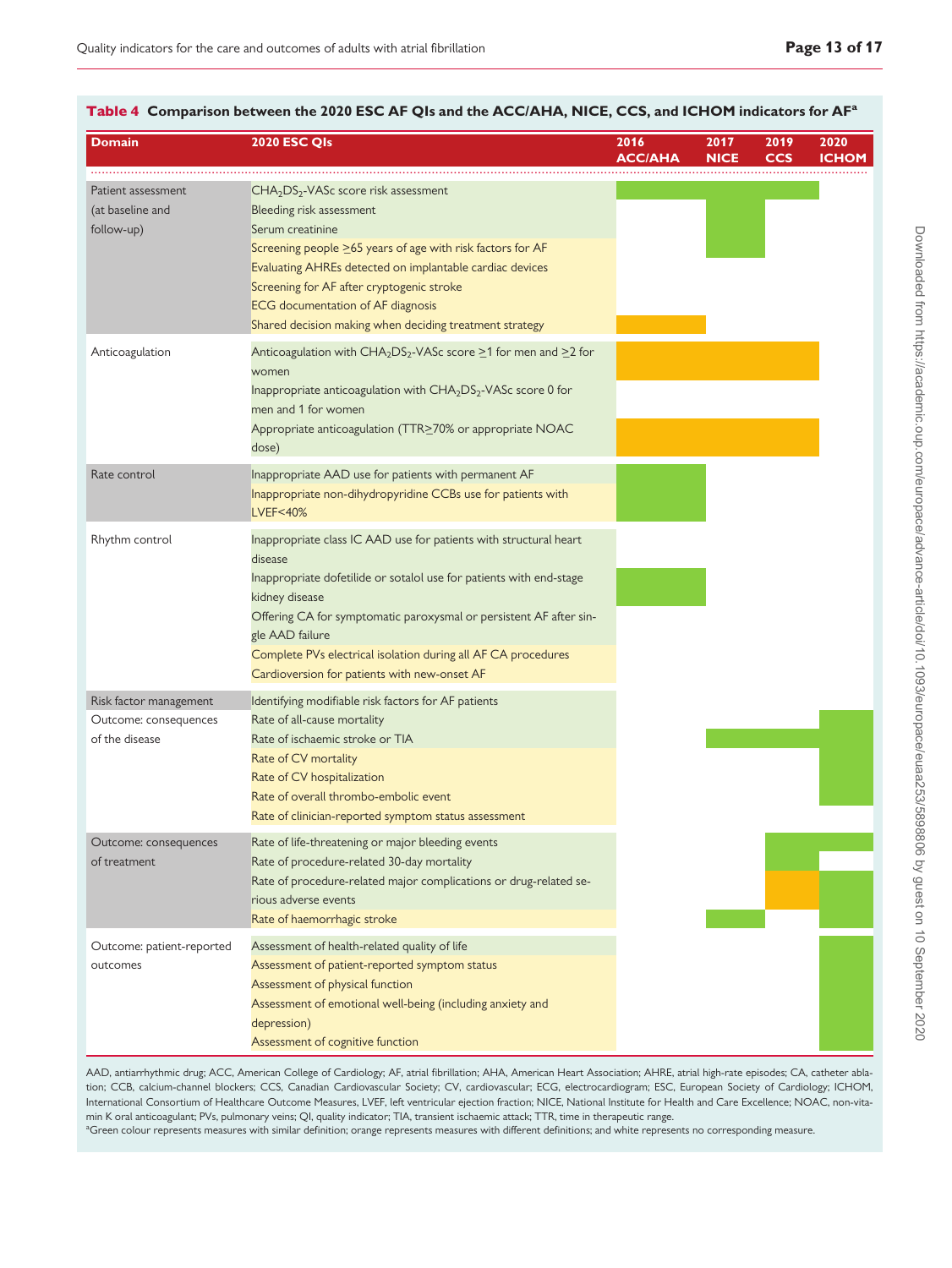| <b>Domain</b>                                                     | <b>2020 ESC QIs</b>                                                                                                                                                                                                                                                                                                                                                                 | 2016<br><b>ACC/AHA</b> | 2017<br>NICE | 2019<br><b>CCS</b> | 2020<br>ICHOM |
|-------------------------------------------------------------------|-------------------------------------------------------------------------------------------------------------------------------------------------------------------------------------------------------------------------------------------------------------------------------------------------------------------------------------------------------------------------------------|------------------------|--------------|--------------------|---------------|
| Patient assessment<br>(at baseline and<br>follow-up)              | CHA <sub>2</sub> DS <sub>2</sub> -VASc score risk assessment<br>Bleeding risk assessment<br>Serum creatinine<br>Screening people ≥65 years of age with risk factors for AF<br>Evaluating AHREs detected on implantable cardiac devices<br>Screening for AF after cryptogenic stroke<br>ECG documentation of AF diagnosis<br>Shared decision making when deciding treatment strategy |                        |              |                    |               |
| Anticoagulation                                                   | Anticoagulation with CHA <sub>2</sub> DS <sub>2</sub> -VASc score $\geq$ 1 for men and $\geq$ 2 for<br>women<br>Inappropriate anticoagulation with CHA <sub>2</sub> DS <sub>2</sub> -VASc score 0 for<br>men and 1 for women<br>Appropriate anticoagulation (TTR>70% or appropriate NOAC<br>dose)                                                                                   |                        |              |                    |               |
| Rate control                                                      | Inappropriate AAD use for patients with permanent AF<br>Inappropriate non-dihydropyridine CCBs use for patients with<br><b>LVEF&lt;40%</b>                                                                                                                                                                                                                                          |                        |              |                    |               |
| Rhythm control                                                    | Inappropriate class IC AAD use for patients with structural heart<br>disease<br>Inappropriate dofetilide or sotalol use for patients with end-stage<br>kidney disease<br>Offering CA for symptomatic paroxysmal or persistent AF after sin-<br>gle AAD failure<br>Complete PVs electrical isolation during all AF CA procedures<br>Cardioversion for patients with new-onset AF     |                        |              |                    |               |
| Risk factor management<br>Outcome: consequences<br>of the disease | Identifying modifiable risk factors for AF patients<br>Rate of all-cause mortality<br>Rate of ischaemic stroke or TIA<br>Rate of CV mortality<br>Rate of CV hospitalization<br>Rate of overall thrombo-embolic event<br>Rate of clinician-reported symptom status assessment                                                                                                        |                        |              |                    |               |
| Outcome: consequences<br>of treatment                             | Rate of life-threatening or major bleeding events<br>Rate of procedure-related 30-day mortality<br>Rate of procedure-related major complications or drug-related se-<br>rious adverse events<br>Rate of haemorrhagic stroke                                                                                                                                                         |                        |              |                    |               |
| Outcome: patient-reported<br>outcomes                             | Assessment of health-related quality of life<br>Assessment of patient-reported symptom status<br>Assessment of physical function<br>Assessment of emotional well-being (including anxiety and<br>depression)<br>Assessment of cognitive function                                                                                                                                    |                        |              |                    |               |

#### <span id="page-12-0"></span>Table 4 Comparison between the 2020 ESC AF QIs and the ACC/AHA, NICE, CCS, and ICHOM indicators for AF<sup>a</sup>

AAD, antiarrhythmic drug; ACC, American College of Cardiology; AF, atrial fibrillation; AHA, American Heart Association; AHRE, atrial high-rate episodes; CA, catheter ablation; CCB, calcium-channel blockers; CCS, Canadian Cardiovascular Society; CV, cardiovascular; ECG, electrocardiogram; ESC, European Society of Cardiology; ICHOM, International Consortium of Healthcare Outcome Measures, LVEF, left ventricular ejection fraction; NICE, National Institute for Health and Care Excellence; NOAC, non-vitamin K oral anticoagulant; PVs, pulmonary veins; QI, quality indicator; TIA, transient ischaemic attack; TTR, time in therapeutic range. <sup>a</sup>Green colour represents measures with similar definition; orange represents measures with different definitions; and white represents no corresponding measure.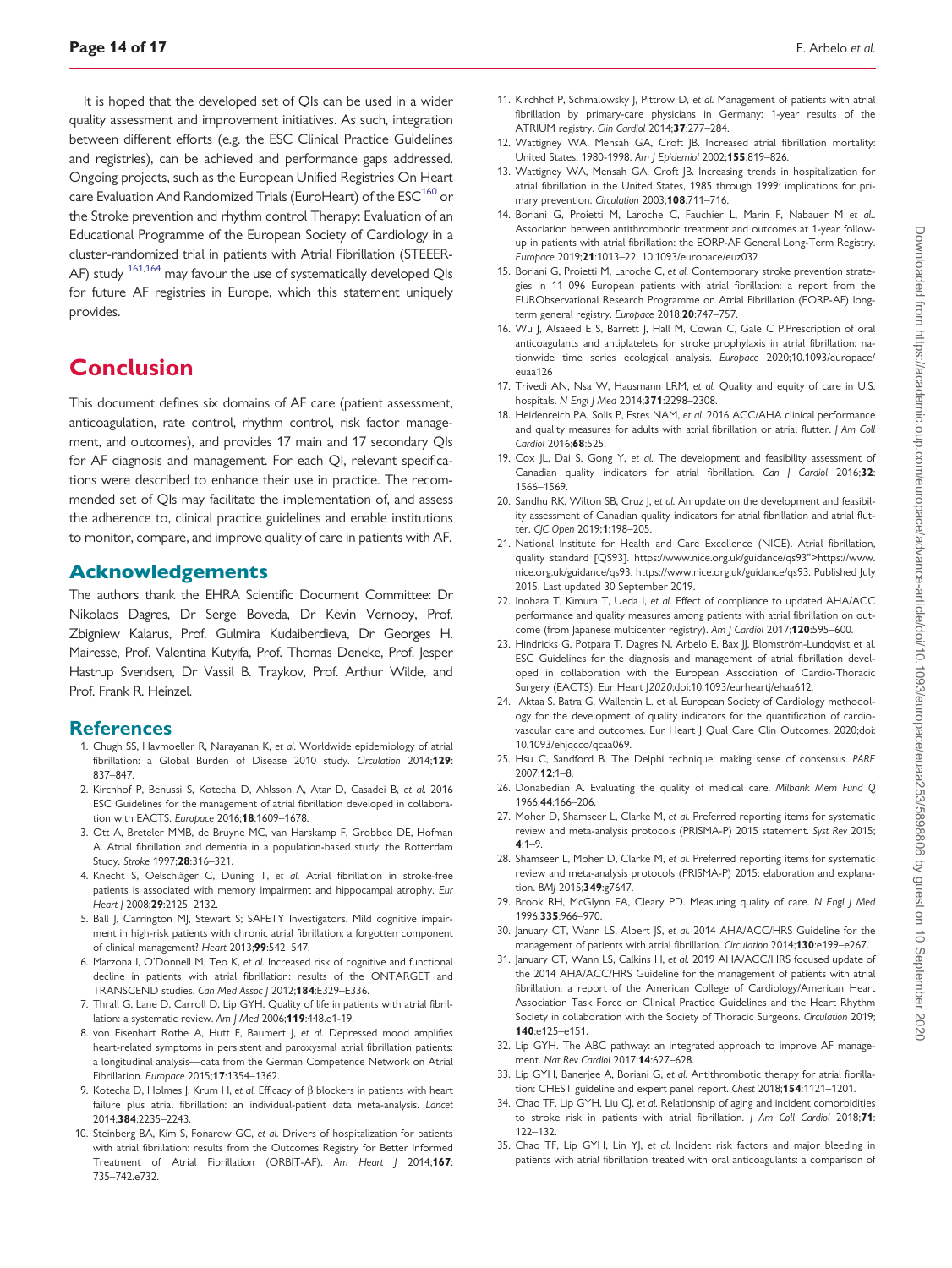<span id="page-13-0"></span>It is hoped that the developed set of QIs can be used in a wider quality assessment and improvement initiatives. As such, integration between different efforts (e.g. the ESC Clinical Practice Guidelines and registries), can be achieved and performance gaps addressed. Ongoing projects, such as the European Unified Registries On Heart care Evaluation And Randomized Trials (EuroHeart) of the ESC<sup>160</sup> or the Stroke prevention and rhythm control Therapy: Evaluation of an Educational Programme of the European Society of Cardiology in a cluster-randomized trial in patients with Atrial Fibrillation (STEEER-AF) study <sup>161,[164](#page-16-0)</sup> may favour the use of systematically developed OIs for future AF registries in Europe, which this statement uniquely provides.

# **Conclusion**

This document defines six domains of AF care (patient assessment, anticoagulation, rate control, rhythm control, risk factor management, and outcomes), and provides 17 main and 17 secondary QIs for AF diagnosis and management. For each QI, relevant specifications were described to enhance their use in practice. The recommended set of QIs may facilitate the implementation of, and assess the adherence to, clinical practice guidelines and enable institutions to monitor, compare, and improve quality of care in patients with AF.

### Acknowledgements

The authors thank the EHRA Scientific Document Committee: Dr Nikolaos Dagres, Dr Serge Boveda, Dr Kevin Vernooy, Prof. Zbigniew Kalarus, Prof. Gulmira Kudaiberdieva, Dr Georges H. Mairesse, Prof. Valentina Kutyifa, Prof. Thomas Deneke, Prof. Jesper Hastrup Svendsen, Dr Vassil B. Traykov, Prof. Arthur Wilde, and Prof. Frank R. Heinzel.

# **References**

- [1.](#page-1-0) Chugh SS, Havmoeller R, Narayanan K, et al. Worldwide epidemiology of atrial fibrillation: a Global Burden of Disease 2010 study. Circulation 2014;129: 837–847.
- [2.](#page-1-0) Kirchhof P, Benussi S, Kotecha D, Ahlsson A, Atar D, Casadei B, et al. 2016 ESC Guidelines for the management of atrial fibrillation developed in collaboration with EACTS. Europace 2016;18:1609–1678.
- 3. Ott A, Breteler MMB, de Bruyne MC, van Harskamp F, Grobbee DE, Hofman A. Atrial fibrillation and dementia in a population-based study: the Rotterdam Study. Stroke 1997;28:316–321.
- 4. Knecht S, Oelschläger C, Duning T, et al. Atrial fibrillation in stroke-free patients is associated with memory impairment and hippocampal atrophy. Eur Heart 1 2008: 29:2125-2132.
- 5. Ball J, Carrington MJ, Stewart S; SAFETY Investigators. Mild cognitive impairment in high-risk patients with chronic atrial fibrillation: a forgotten component of clinical management? Heart 2013;99:542–547.
- [6.](#page-1-0) Marzona I, O'Donnell M, Teo K, et al. Increased risk of cognitive and functional decline in patients with atrial fibrillation: results of the ONTARGET and TRANSCEND studies. Can Med Assoc J 2012;184:E329–E336.
- [7.](#page-1-0) Thrall G, Lane D, Carroll D, Lip GYH. Quality of life in patients with atrial fibrillation: a systematic review. Am J Med 2006;119:448.e1-19.
- [8.](#page-1-0) von Eisenhart Rothe A, Hutt F, Baumert J, et al. Depressed mood amplifies heart-related symptoms in persistent and paroxysmal atrial fibrillation patients: a longitudinal analysis—data from the German Competence Network on Atrial Fibrillation. Europace 2015;17:1354–1362.
- [9.](#page-8-0) Kotecha D, Holmes J, Krum H, et al. Efficacy of  $\beta$  blockers in patients with heart failure plus atrial fibrillation: an individual-patient data meta-analysis. Lancet 2014;384:2235–2243.
- 10. Steinberg BA, Kim S, Fonarow GC, et al. Drivers of hospitalization for patients with atrial fibrillation: results from the Outcomes Registry for Better Informed Treatment of Atrial Fibrillation (ORBIT-AF). Am Heart J 2014;167: 735–742.e732.
- 11. Kirchhof P, Schmalowsky J, Pittrow D, et al. Management of patients with atrial fibrillation by primary-care physicians in Germany: 1-year results of the ATRIUM registry. Clin Cardiol 2014;37:277–284.
- [12](#page-1-0). Wattigney WA, Mensah GA, Croft JB. Increased atrial fibrillation mortality: United States, 1980-1998. Am J Epidemiol 2002;155:819–826.
- [13](#page-1-0). Wattigney WA, Mensah GA, Croft JB. Increasing trends in hospitalization for atrial fibrillation in the United States, 1985 through 1999: implications for primary prevention. Circulation 2003;108:711-716.
- [14](#page-1-0). Boriani G, Proietti M, Laroche C, Fauchier L, Marin F, Nabauer M et al.. Association between antithrombotic treatment and outcomes at 1-year followup in patients with atrial fibrillation: the EORP-AF General Long-Term Registry. Europace 2019;21:1013–22. 10.1093/europace/euz032
- [15](#page-1-0). Boriani G, Proietti M, Laroche C, et al. Contemporary stroke prevention strategies in 11 096 European patients with atrial fibrillation: a report from the EURObservational Research Programme on Atrial Fibrillation (EORP-AF) longterm general registry. Europace 2018;20:747–757.
- [16](#page-1-0). Wu J, Alsaeed E S, Barrett J, Hall M, Cowan C, Gale C P.Prescription of oral anticoagulants and antiplatelets for stroke prophylaxis in atrial fibrillation: nationwide time series ecological analysis. Europace 2020;10.1093/europace/ euaa126
- [17](#page-1-0). Trivedi AN, Nsa W, Hausmann LRM, et al. Quality and equity of care in U.S. hospitals. N Engl J Med 2014;371:2298–2308.
- [18](#page-3-0). Heidenreich PA, Solis P, Estes NAM, et al. 2016 ACC/AHA clinical performance and quality measures for adults with atrial fibrillation or atrial flutter. J Am Coll Cardiol 2016;68:525.
- 19. Cox JL, Dai S, Gong Y, et al. The development and feasibility assessment of Canadian quality indicators for atrial fibrillation. Can J Cardiol 2016;32: 1566–1569.
- [20](#page-3-0). Sandhu RK, Wilton SB, Cruz J, et al. An update on the development and feasibility assessment of Canadian quality indicators for atrial fibrillation and atrial flutter. CIC Open 2019:1:198-205.
- [21](#page-3-0). National Institute for Health and Care Excellence (NICE). Atrial fibrillation, quality standard [QS93]. [https://www.nice.org.uk/guidance/qs93">https://www.](https://www.nice.org.uk/guidance/qs93. https://) [nice.org.uk/guidance/qs93. https://www.nice.org.uk/guidance/qs93](https://www.nice.org.uk/guidance/qs93. https://). Published July 2015. Last updated 30 September 2019.
- [22](#page-1-0). Inohara T, Kimura T, Ueda I, et al. Effect of compliance to updated AHA/ACC performance and quality measures among patients with atrial fibrillation on outcome (from Japanese multicenter registry). Am J Cardiol 2017;120:595-600.
- [23](#page-1-0). Hindricks G, Potpara T, Dagres N, Arbelo E, Bax JJ, Blomström-Lundqvist et al. ESC Guidelines for the diagnosis and management of atrial fibrillation developed in collaboration with the European Association of Cardio-Thoracic Surgery (EACTS). Eur Heart J2020;doi:10.1093/eurheartj/ehaa612.
- [24](#page-1-0). Aktaa S. Batra G. Wallentin L. et al. European Society of Cardiology methodology for the development of quality indicators for the quantification of cardiovascular care and outcomes. Eur Heart J Qual Care Clin Outcomes. 2020;doi: 10.1093/ehjqcco/qcaa069.
- [25](#page-1-0). Hsu C, Sandford B. The Delphi technique: making sense of consensus. PARE 2007;12:1–8.
- [26](#page-1-0). Donabedian A. Evaluating the quality of medical care. Milbank Mem Fund Q 1966;44:166–206.
- [27](#page-2-0). Moher D, Shamseer L, Clarke M, et al. Preferred reporting items for systematic review and meta-analysis protocols (PRISMA-P) 2015 statement. Syst Rev 2015;  $4:1 - 9$ .
- [28](#page-2-0). Shamseer L, Moher D, Clarke M, et al. Preferred reporting items for systematic review and meta-analysis protocols (PRISMA-P) 2015: elaboration and explanation. BMI 2015:349:e7647.
- [29](#page-2-0). Brook RH, McGlynn EA, Cleary PD. Measuring quality of care. N Engl J Med 1996;335:966–970.
- [30](#page-3-0). January CT, Wann LS, Alpert JS, et al. 2014 AHA/ACC/HRS Guideline for the management of patients with atrial fibrillation. Circulation 2014;130:e199–e267.
- [31](#page-3-0). January CT, Wann LS, Calkins H, et al. 2019 AHA/ACC/HRS focused update of the 2014 AHA/ACC/HRS Guideline for the management of patients with atrial fibrillation: a report of the American College of Cardiology/American Heart Association Task Force on Clinical Practice Guidelines and the Heart Rhythm Society in collaboration with the Society of Thoracic Surgeons. Circulation 2019; 140:e125–e151.
- [32](#page-4-0). Lip GYH. The ABC pathway: an integrated approach to improve AF management. Nat Rev Cardiol 2017;14:627–628.
- [33](#page-4-0). Lip GYH, Banerjee A, Boriani G, et al. Antithrombotic therapy for atrial fibrillation: CHEST guideline and expert panel report. Chest 2018;154:1121–1201.
- [34](#page-6-0). Chao TF, Lip GYH, Liu CJ, et al. Relationship of aging and incident comorbidities to stroke risk in patients with atrial fibrillation. J Am Coll Cardiol 2018;71: 122–132.
- [35](#page-6-0). Chao TF, Lip GYH, Lin YJ, et al. Incident risk factors and major bleeding in patients with atrial fibrillation treated with oral anticoagulants: a comparison of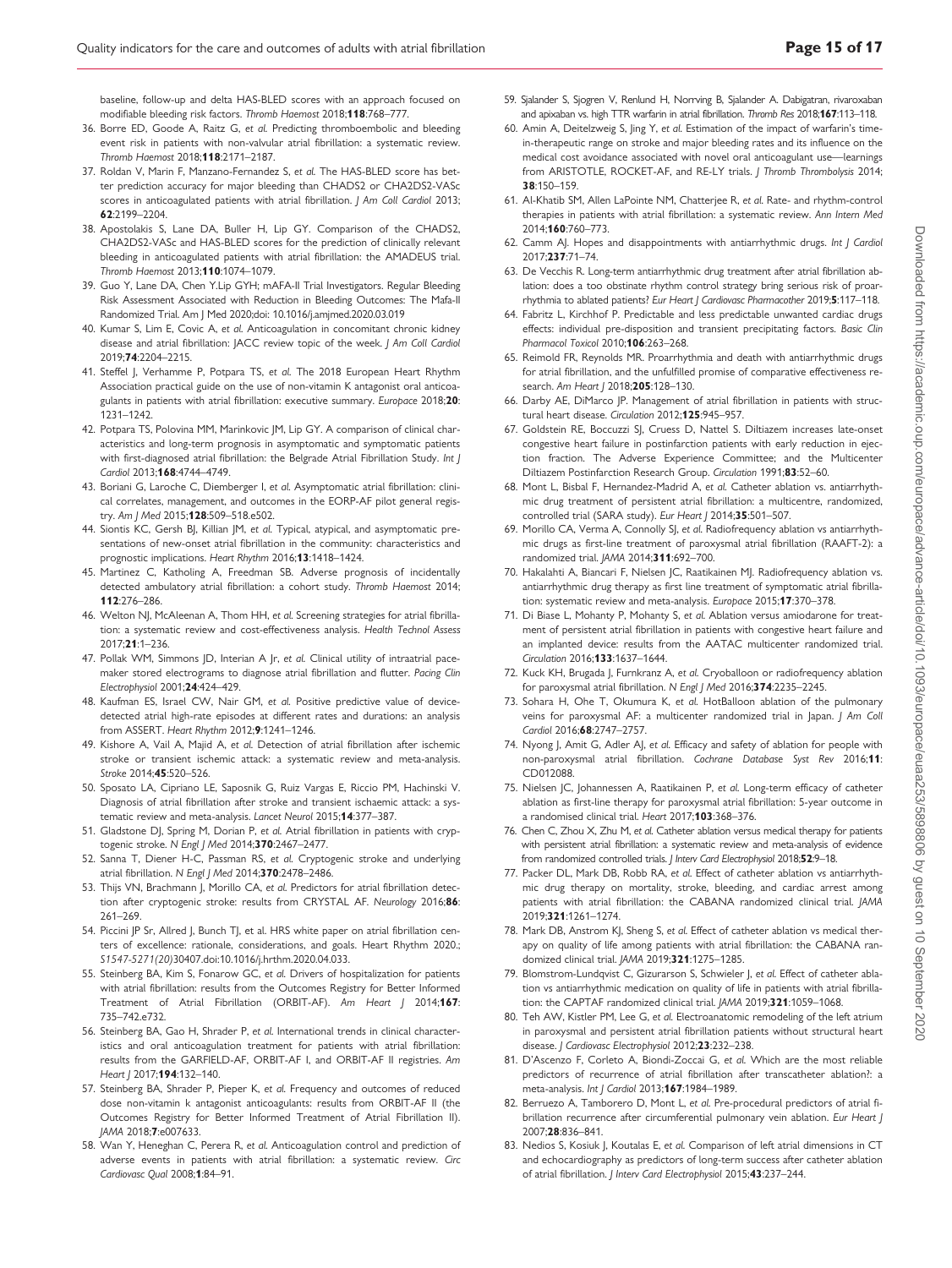<span id="page-14-0"></span>baseline, follow-up and delta HAS-BLED scores with an approach focused on modifiable bleeding risk factors. Thromb Haemost 2018;118:768–777.

- [36](#page-6-0). Borre ED, Goode A, Raitz G, et al. Predicting thromboembolic and bleeding event risk in patients with non-valvular atrial fibrillation: a systematic review. Thromb Haemost 2018;118:2171–2187.
- [37](#page-6-0). Roldan V, Marin F, Manzano-Fernandez S, et al. The HAS-BLED score has better prediction accuracy for major bleeding than CHADS2 or CHA2DS2-VASc scores in anticoagulated patients with atrial fibrillation. J Am Coll Cardiol 2013; 62:2199–2204.
- [38](#page-6-0). Apostolakis S, Lane DA, Buller H, Lip GY. Comparison of the CHADS2, CHA2DS2-VASc and HAS-BLED scores for the prediction of clinically relevant bleeding in anticoagulated patients with atrial fibrillation: the AMADEUS trial. Thromb Haemost 2013;110:1074–1079.
- [39](#page-6-0). Guo Y, Lane DA, Chen Y.Lip GYH; mAFA-II Trial Investigators. Regular Bleeding Risk Assessment Associated with Reduction in Bleeding Outcomes: The Mafa-II Randomized Trial. Am J Med 2020;doi: 10.1016/j.amjmed.2020.03.019
- [40](#page-6-0). Kumar S, Lim E, Covic A, et al. Anticoagulation in concomitant chronic kidney disease and atrial fibrillation: JACC review topic of the week. J Am Coll Cardiol 2019;74:2204–2215.
- [41](#page-7-0). Steffel J, Verhamme P, Potpara TS, et al. The 2018 European Heart Rhythm Association practical guide on the use of non-vitamin K antagonist oral anticoagulants in patients with atrial fibrillation: executive summary. Europace 2018;20: 1231–1242.
- 42. Potpara TS, Polovina MM, Marinkovic JM, Lip GY. A comparison of clinical characteristics and long-term prognosis in asymptomatic and symptomatic patients with first-diagnosed atrial fibrillation: the Belgrade Atrial Fibrillation Study. Int J Cardiol 2013:168:4744-4749.
- 43. Boriani G, Laroche C, Diemberger I, et al. Asymptomatic atrial fibrillation: clinical correlates, management, and outcomes in the EORP-AF pilot general registry. Am | Med 2015;128:509-518.e502.
- 44. Siontis KC, Gersh BJ, Killian JM, et al. Typical, atypical, and asymptomatic presentations of new-onset atrial fibrillation in the community: characteristics and prognostic implications. Heart Rhythm 2016;13:1418–1424.
- [45](#page-7-0). Martinez C, Katholing A, Freedman SB. Adverse prognosis of incidentally detected ambulatory atrial fibrillation: a cohort study. Thromb Haemost 2014; 112:276–286.
- [46](#page-7-0). Welton NJ, McAleenan A, Thom HH, et al. Screening strategies for atrial fibrillation: a systematic review and cost-effectiveness analysis. Health Technol Assess 2017;21:1–236.
- [47](#page-7-0). Pollak WM, Simmons JD, Interian A Jr, et al. Clinical utility of intraatrial pacemaker stored electrograms to diagnose atrial fibrillation and flutter. Pacing Clin Electrophysiol 2001;24:424–429.
- [48](#page-7-0). Kaufman ES, Israel CW, Nair GM, et al. Positive predictive value of devicedetected atrial high-rate episodes at different rates and durations: an analysis from ASSERT. Heart Rhythm 2012;9:1241–1246.
- [49](#page-7-0). Kishore A, Vail A, Majid A, et al. Detection of atrial fibrillation after ischemic stroke or transient ischemic attack: a systematic review and meta-analysis. Stroke 2014;45:520–526.
- [50](#page-7-0). Sposato LA, Cipriano LE, Saposnik G, Ruiz Vargas E, Riccio PM, Hachinski V. Diagnosis of atrial fibrillation after stroke and transient ischaemic attack: a systematic review and meta-analysis. Lancet Neurol 2015;14:377–387.
- 51. Gladstone DJ, Spring M, Dorian P, et al. Atrial fibrillation in patients with cryptogenic stroke. N Engl J Med 2014;370:2467–2477.
- 52. Sanna T, Diener H-C, Passman RS, et al. Cryptogenic stroke and underlying atrial fibrillation. N Engl J Med 2014;370:2478-2486.
- 53. Thijs VN, Brachmann J, Morillo CA, et al. Predictors for atrial fibrillation detection after cryptogenic stroke: results from CRYSTAL AF. Neurology 2016;86: 261–269.
- [54](#page-7-0). Piccini JP Sr, Allred J, Bunch TJ, et al. HRS white paper on atrial fibrillation centers of excellence: rationale, considerations, and goals. Heart Rhythm 2020.; S1547-5271(20)30407.doi:10.1016/j.hrthm.2020.04.033.
- 55. Steinberg BA, Kim S, Fonarow GC, et al. Drivers of hospitalization for patients with atrial fibrillation: results from the Outcomes Registry for Better Informed Treatment of Atrial Fibrillation (ORBIT-AF). Am Heart | 2014;167: 735–742.e732.
- 56. Steinberg BA, Gao H, Shrader P, et al. International trends in clinical characteristics and oral anticoagulation treatment for patients with atrial fibrillation: results from the GARFIELD-AF, ORBIT-AF I, and ORBIT-AF II registries. Am Heart | 2017;194:132-140.
- [57](#page-11-0). Steinberg BA, Shrader P, Pieper K, et al. Frequency and outcomes of reduced dose non-vitamin k antagonist anticoagulants: results from ORBIT-AF II (the Outcomes Registry for Better Informed Treatment of Atrial Fibrillation II). JAMA 2018;7:e007633.
- [58](#page-11-0). Wan Y, Heneghan C, Perera R, et al. Anticoagulation control and prediction of adverse events in patients with atrial fibrillation: a systematic review. Circ Cardiovasc Qual 2008;1:84–91.
- 59. Sjalander S, Sjogren V, Renlund H, Norrving B, Sjalander A. Dabigatran, rivaroxaban and apixaban vs. high TTR warfarin in atrial fibrillation. Thromb Res 2018;167:113–118.
- 60. Amin A, Deitelzweig S, Jing Y, et al. Estimation of the impact of warfarin's timein-therapeutic range on stroke and major bleeding rates and its influence on the medical cost avoidance associated with novel oral anticoagulant use—learnings from ARISTOTLE, ROCKET-AF, and RE-LY trials. *J Thromb Thrombolysis* 2014; 38:150–159.
- [61.](#page-8-0) Al-Khatib SM, Allen LaPointe NM, Chatterjee R, et al. Rate- and rhythm-control therapies in patients with atrial fibrillation: a systematic review. Ann Intern Med 2014;160:760–773.
- 62. Camm AJ. Hopes and disappointments with antiarrhythmic drugs. Int J Cardiol 2017;237:71–74.
- 63. De Vecchis R. Long-term antiarrhythmic drug treatment after atrial fibrillation ablation: does a too obstinate rhythm control strategy bring serious risk of proarrhythmia to ablated patients? Eur Heart J Cardiovasc Pharmacother 2019;5:117–118.
- 64. Fabritz L, Kirchhof P. Predictable and less predictable unwanted cardiac drugs effects: individual pre-disposition and transient precipitating factors. Basic Clin Pharmacol Toxicol 2010;106:263–268.
- 65. Reimold FR, Reynolds MR. Proarrhythmia and death with antiarrhythmic drugs for atrial fibrillation, and the unfulfilled promise of comparative effectiveness research. Am Heart | 2018;205:128-130.
- [66.](#page-8-0) Darby AE, DiMarco JP. Management of atrial fibrillation in patients with structural heart disease. Circulation 2012;125:945–957.
- [67.](#page-8-0) Goldstein RE, Boccuzzi SJ, Cruess D, Nattel S. Diltiazem increases late-onset congestive heart failure in postinfarction patients with early reduction in ejection fraction. The Adverse Experience Committee; and the Multicenter Diltiazem Postinfarction Research Group. Circulation 1991;83:52–60.
- 68. Mont L, Bisbal F, Hernandez-Madrid A, et al. Catheter ablation vs. antiarrhythmic drug treatment of persistent atrial fibrillation: a multicentre, randomized, controlled trial (SARA study). Eur Heart J 2014;35:501-507.
- [69.](#page-9-0) Morillo CA, Verma A, Connolly SJ, et al. Radiofrequency ablation vs antiarrhythmic drugs as first-line treatment of paroxysmal atrial fibrillation (RAAFT-2): a randomized trial. JAMA 2014;311:692–700.
- 70. Hakalahti A, Biancari F, Nielsen JC, Raatikainen MJ. Radiofrequency ablation vs. antiarrhythmic drug therapy as first line treatment of symptomatic atrial fibrillation: systematic review and meta-analysis. Europace 2015:**17**:370–378.
- 71. Di Biase L, Mohanty P, Mohanty S, et al. Ablation versus amiodarone for treatment of persistent atrial fibrillation in patients with congestive heart failure and an implanted device: results from the AATAC multicenter randomized trial. Circulation 2016;133:1637–1644.
- 72. Kuck KH, Brugada J, Furnkranz A, et al. Cryoballoon or radiofrequency ablation for paroxysmal atrial fibrillation. N Engl J Med 2016;374:2235–2245.
- [73.](#page-9-0) Sohara H, Ohe T, Okumura K, et al. HotBalloon ablation of the pulmonary veins for paroxysmal AF: a multicenter randomized trial in Japan. J Am Coll Cardiol 2016;68:2747–2757.
- [74.](#page-9-0) Nyong J, Amit G, Adler AJ, et al. Efficacy and safety of ablation for people with non-paroxysmal atrial fibrillation. Cochrane Database Syst Rev 2016;11: CD012088.
- 75. Nielsen JC, Johannessen A, Raatikainen P, et al. Long-term efficacy of catheter ablation as first-line therapy for paroxysmal atrial fibrillation: 5-year outcome in a randomised clinical trial. Heart 2017;103:368–376.
- 76. Chen C, Zhou X, Zhu M, et al. Catheter ablation versus medical therapy for patients with persistent atrial fibrillation: a systematic review and meta-analysis of evidence from randomized controlled trials. J Interv Card Electrophysiol 2018;52:9-18.
- 77. Packer DL, Mark DB, Robb RA, et al. Effect of catheter ablation vs antiarrhythmic drug therapy on mortality, stroke, bleeding, and cardiac arrest among patients with atrial fibrillation: the CABANA randomized clinical trial. JAMA 2019;321:1261–1274.
- 78. Mark DB, Anstrom KJ, Sheng S, et al. Effect of catheter ablation vs medical therapy on quality of life among patients with atrial fibrillation: the CABANA randomized clinical trial. JAMA 2019;321:1275–1285.
- 79. Blomstrom-Lundqvist C, Gizurarson S, Schwieler J, et al. Effect of catheter ablation vs antiarrhythmic medication on quality of life in patients with atrial fibrillation: the CAPTAF randomized clinical trial. JAMA 2019;321:1059-1068.
- 80. Teh AW, Kistler PM, Lee G, et al. Electroanatomic remodeling of the left atrium in paroxysmal and persistent atrial fibrillation patients without structural heart disease. J Cardiovasc Electrophysiol 2012;23:232-238.
- 81. D'Ascenzo F, Corleto A, Biondi-Zoccai G, et al. Which are the most reliable predictors of recurrence of atrial fibrillation after transcatheter ablation?: a meta-analysis. Int J Cardiol 2013;167:1984–1989.
- 82. Berruezo A, Tamborero D, Mont L, et al. Pre-procedural predictors of atrial fibrillation recurrence after circumferential pulmonary vein ablation. Eur Heart J 2007;28:836–841.
- 83. Nedios S, Kosiuk J, Koutalas E, et al. Comparison of left atrial dimensions in CT and echocardiography as predictors of long-term success after catheter ablation of atrial fibrillation. J Interv Card Electrophysiol 2015;43:237-244.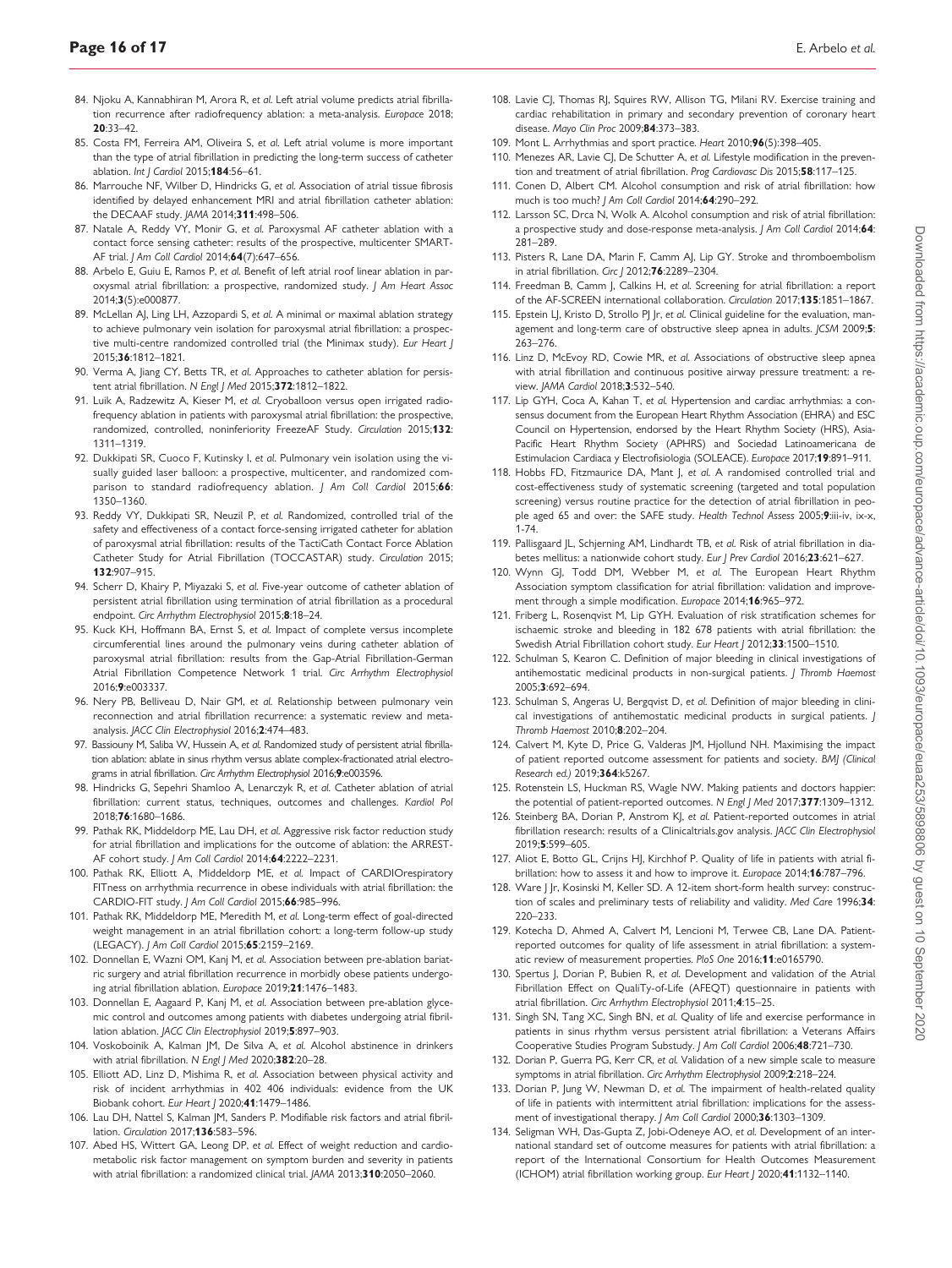- <span id="page-15-0"></span>84. Njoku A, Kannabhiran M, Arora R, et al. Left atrial volume predicts atrial fibrillation recurrence after radiofrequency ablation: a meta-analysis. Europace 2018; 20:33–42.
- 85. Costa FM, Ferreira AM, Oliveira S, et al. Left atrial volume is more important than the type of atrial fibrillation in predicting the long-term success of catheter ablation. Int | Cardiol 2015;184:56-61.
- 86. Marrouche NF, Wilber D, Hindricks G, et al. Association of atrial tissue fibrosis identified by delayed enhancement MRI and atrial fibrillation catheter ablation: the DECAAF study. JAMA 2014;311:498–506.
- 87. Natale A, Reddy VY, Monir G, et al. Paroxysmal AF catheter ablation with a contact force sensing catheter: results of the prospective, multicenter SMART-AF trial. J Am Coll Cardiol 2014;64(7):647–656.
- 88. Arbelo E, Guiu E, Ramos P, et al. Benefit of left atrial roof linear ablation in paroxysmal atrial fibrillation: a prospective, randomized study. J Am Heart Assoc 2014;3(5):e000877.
- 89. McLellan AJ, Ling LH, Azzopardi S, et al. A minimal or maximal ablation strategy to achieve pulmonary vein isolation for paroxysmal atrial fibrillation: a prospective multi-centre randomized controlled trial (the Minimax study). Eur Heart J 2015;36:1812–1821.
- 90. Verma A, Jiang CY, Betts TR, et al. Approaches to catheter ablation for persistent atrial fibrillation. N Engl J Med 2015;372:1812–1822.
- 91. Luik A, Radzewitz A, Kieser M, et al. Cryoballoon versus open irrigated radiofrequency ablation in patients with paroxysmal atrial fibrillation: the prospective, randomized, controlled, noninferiority FreezeAF Study. Circulation 2015;132: 1311–1319.
- 92. Dukkipati SR, Cuoco F, Kutinsky I, et al. Pulmonary vein isolation using the visually guided laser balloon: a prospective, multicenter, and randomized comparison to standard radiofrequency ablation. J Am Coll Cardiol 2015;66: 1350–1360.
- 93. Reddy VY, Dukkipati SR, Neuzil P, et al. Randomized, controlled trial of the safety and effectiveness of a contact force-sensing irrigated catheter for ablation of paroxysmal atrial fibrillation: results of the TactiCath Contact Force Ablation Catheter Study for Atrial Fibrillation (TOCCASTAR) study. Circulation 2015; 132:907–915.
- 94. Scherr D, Khairy P, Miyazaki S, et al. Five-year outcome of catheter ablation of persistent atrial fibrillation using termination of atrial fibrillation as a procedural endpoint. Circ Arrhythm Electrophysiol 2015;8:18-24.
- 95. Kuck KH, Hoffmann BA, Ernst S, et al. Impact of complete versus incomplete circumferential lines around the pulmonary veins during catheter ablation of paroxysmal atrial fibrillation: results from the Gap-Atrial Fibrillation-German Atrial Fibrillation Competence Network 1 trial. Circ Arrhythm Electrophysiol 2016;9:e003337.
- 96. Nery PB, Belliveau D, Nair GM, et al. Relationship between pulmonary vein reconnection and atrial fibrillation recurrence: a systematic review and metaanalysis. JACC Clin Electrophysiol 2016;2:474–483.
- 97. Bassiouny M, Saliba W, Hussein A, et al. Randomized study of persistent atrial fibrillation ablation: ablate in sinus rhythm versus ablate complex-fractionated atrial electrograms in atrial fibrillation. Circ Arrhythm Electrophysiol 2016;9:e003596.
- 98. Hindricks G, Sepehri Shamloo A, Lenarczyk R, et al. Catheter ablation of atrial fibrillation: current status, techniques, outcomes and challenges. Kardiol Pol 2018;76:1680–1686.
- 99. Pathak RK, Middeldorp ME, Lau DH, et al. Aggressive risk factor reduction study for atrial fibrillation and implications for the outcome of ablation: the ARREST-AF cohort study. J Am Coll Cardiol 2014;64:2222–2231.
- [100.](#page-9-0) Pathak RK, Elliott A, Middeldorp ME, et al. Impact of CARDIOrespiratory FITness on arrhythmia recurrence in obese individuals with atrial fibrillation: the CARDIO-FIT study. J Am Coll Cardiol 2015;66:985–996.
- 101. Pathak RK, Middeldorp ME, Meredith M, et al. Long-term effect of goal-directed weight management in an atrial fibrillation cohort: a long-term follow-up study (LEGACY). J Am Coll Cardiol 2015;65:2159–2169.
- [102.](#page-9-0) Donnellan E, Wazni OM, Kanj M, et al. Association between pre-ablation bariatric surgery and atrial fibrillation recurrence in morbidly obese patients undergoing atrial fibrillation ablation. Europace 2019;21:1476-1483.
- 103. Donnellan E, Aagaard P, Kanj M, et al. Association between pre-ablation glycemic control and outcomes among patients with diabetes undergoing atrial fibrillation ablation. JACC Clin Electrophysiol 2019;5:897–903.
- 104. Voskoboinik A, Kalman JM, De Silva A, et al. Alcohol abstinence in drinkers with atrial fibrillation. N Engl J Med 2020;382:20-28.
- [105.](#page-9-0) Elliott AD, Linz D, Mishima R, et al. Association between physical activity and risk of incident arrhythmias in 402 406 individuals: evidence from the UK Biobank cohort. Eur Heart | 2020;41:1479-1486.
- 106. Lau DH, Nattel S, Kalman JM, Sanders P. Modifiable risk factors and atrial fibrillation. Circulation 2017;136:583–596.
- [107.](#page-9-0) Abed HS, Wittert GA, Leong DP, et al. Effect of weight reduction and cardiometabolic risk factor management on symptom burden and severity in patients with atrial fibrillation: a randomized clinical trial. JAMA 2013:310:2050-2060
- [108](#page-9-0). Lavie CJ, Thomas RJ, Squires RW, Allison TG, Milani RV. Exercise training and cardiac rehabilitation in primary and secondary prevention of coronary heart disease. Mayo Clin Proc 2009;84:373–383.
- 109. Mont L. Arrhythmias and sport practice. Heart 2010;96(5):398–405.
- 110. Menezes AR, Lavie CI, De Schutter A, et al. Lifestyle modification in the prevention and treatment of atrial fibrillation. Prog Cardiovasc Dis 2015;58:117–125.
- 111. Conen D, Albert CM. Alcohol consumption and risk of atrial fibrillation: how much is too much? J Am Coll Cardiol 2014:64:290-292.
- 112. Larsson SC, Drca N, Wolk A. Alcohol consumption and risk of atrial fibrillation: a prospective study and dose-response meta-analysis. J Am Coll Cardiol 2014;64: 281–289.
- 113. Pisters R, Lane DA, Marin F, Camm AJ, Lip GY. Stroke and thromboembolism in atrial fibrillation. Circ J 2012;76:2289–2304.
- 114. Freedman B, Camm J, Calkins H, et al. Screening for atrial fibrillation: a report of the AF-SCREEN international collaboration. Circulation 2017;135:1851–1867.
- [115](#page-9-0). Epstein LJ, Kristo D, Strollo PJ Jr, et al. Clinical guideline for the evaluation, management and long-term care of obstructive sleep apnea in adults. JCSM 2009;5: 263–276.
- [116](#page-9-0). Linz D, McEvoy RD, Cowie MR, et al. Associations of obstructive sleep apnea with atrial fibrillation and continuous positive airway pressure treatment: a review. JAMA Cardiol 2018;3:532–540.
- [117](#page-9-0). Lip GYH, Coca A, Kahan T, et al. Hypertension and cardiac arrhythmias: a consensus document from the European Heart Rhythm Association (EHRA) and ESC Council on Hypertension, endorsed by the Heart Rhythm Society (HRS), Asia-Pacific Heart Rhythm Society (APHRS) and Sociedad Latinoamericana de Estimulacion Cardiaca y Electrofisiologia (SOLEACE). Europace 2017;19:891–911.
- [118](#page-9-0). Hobbs FD, Fitzmaurice DA, Mant J, et al. A randomised controlled trial and cost-effectiveness study of systematic screening (targeted and total population screening) versus routine practice for the detection of atrial fibrillation in people aged 65 and over: the SAFE study. Health Technol Assess 2005;9:iii-iv, ix-x,  $1 - 74$
- [119](#page-9-0). Pallisgaard JL, Schjerning AM, Lindhardt TB, et al. Risk of atrial fibrillation in diabetes mellitus: a nationwide cohort study. Eur J Prev Cardiol 2016;23:621-627.
- [120](#page-9-0). Wynn GJ, Todd DM, Webber M, et al. The European Heart Rhythm Association symptom classification for atrial fibrillation: validation and improvement through a simple modification. Europace 2014:16:965-972.
- [121](#page-9-0). Friberg L, Rosenqvist M, Lip GYH. Evaluation of risk stratification schemes for ischaemic stroke and bleeding in 182 678 patients with atrial fibrillation: the Swedish Atrial Fibrillation cohort study. Eur Heart J 2012;33:1500-1510.
- [122](#page-9-0). Schulman S, Kearon C. Definition of major bleeding in clinical investigations of antihemostatic medicinal products in non-surgical patients. *| Thromb Haemost* 2005;3:692–694.
- [123](#page-9-0). Schulman S, Angeras U, Bergqvist D, et al. Definition of major bleeding in clinical investigations of antihemostatic medicinal products in surgical patients. J Thromb Haemost 2010;8:202–204.
- [124](#page-9-0). Calvert M, Kyte D, Price G, Valderas JM, Hjollund NH. Maximising the impact of patient reported outcome assessment for patients and society. BMJ (Clinical Research ed.) 2019;364:k5267.
- 125. Rotenstein LS, Huckman RS, Wagle NW. Making patients and doctors happier: the potential of patient-reported outcomes. N Engl | Med 2017;377:1309-1312.
- 126. Steinberg BA, Dorian P, Anstrom KJ, et al. Patient-reported outcomes in atrial fibrillation research: results of a Clinicaltrials.gov analysis. JACC Clin Electrophysiol 2019;5:599–605.
- 127. Aliot E, Botto GL, Crijns HJ, Kirchhof P. Quality of life in patients with atrial fibrillation: how to assess it and how to improve it. Europace 2014;16:787-796.
- [128](#page-10-0). Ware J Jr, Kosinski M, Keller SD. A 12-item short-form health survey: construction of scales and preliminary tests of reliability and validity. Med Care 1996;34: 220–233.
- [129](#page-10-0). Kotecha D, Ahmed A, Calvert M, Lencioni M, Terwee CB, Lane DA. Patientreported outcomes for quality of life assessment in atrial fibrillation: a systematic review of measurement properties. PloS One 2016;11:e0165790.
- [130](#page-10-0). Spertus J, Dorian P, Bubien R, et al. Development and validation of the Atrial Fibrillation Effect on QualiTy-of-Life (AFEQT) questionnaire in patients with atrial fibrillation. Circ Arrhythm Electrophysiol 2011;4:15–25.
- 131. Singh SN, Tang XC, Singh BN, et al. Quality of life and exercise performance in patients in sinus rhythm versus persistent atrial fibrillation: a Veterans Affairs Cooperative Studies Program Substudy. J Am Coll Cardiol 2006;48:721–730.
- 132. Dorian P, Guerra PG, Kerr CR, et al. Validation of a new simple scale to measure symptoms in atrial fibrillation. Circ Arrhythm Electrophysiol 2009;2:218–224.
- 133. Dorian P, Jung W, Newman D, et al. The impairment of health-related quality of life in patients with intermittent atrial fibrillation: implications for the assessment of investigational therapy. J Am Coll Cardiol 2000;36:1303–1309.
- [134](#page-3-0). Seligman WH, Das-Gupta Z, Jobi-Odeneye AO, et al. Development of an international standard set of outcome measures for patients with atrial fibrillation: a report of the International Consortium for Health Outcomes Measurement (ICHOM) atrial fibrillation working group. Eur Heart J 2020;41:1132–1140.